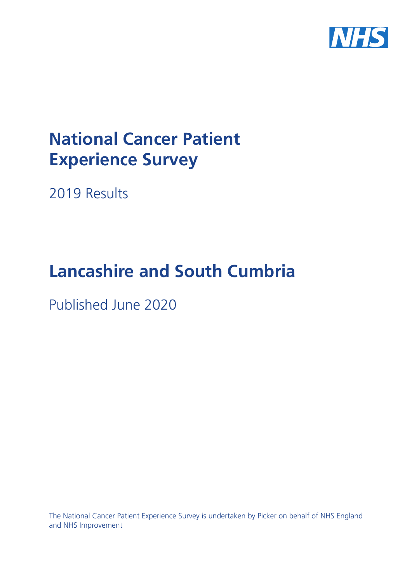

# **National Cancer Patient Experience Survey**

2019 Results

# **Lancashire and South Cumbria**

Published June 2020

The National Cancer Patient Experience Survey is undertaken by Picker on behalf of NHS England and NHS Improvement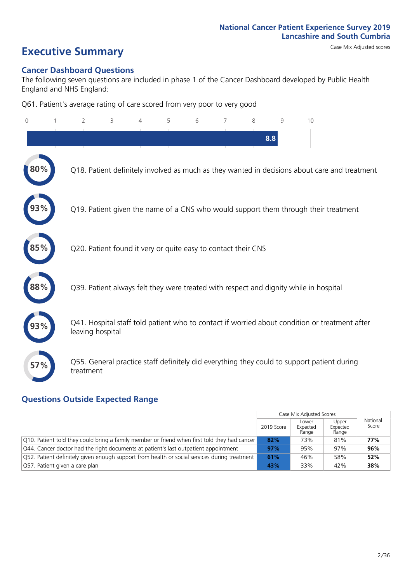# **Executive Summary** Case Mix Adjusted scores

### **Cancer Dashboard Questions**

The following seven questions are included in phase 1 of the Cancer Dashboard developed by Public Health England and NHS England:

Q61. Patient's average rating of care scored from very poor to very good

| 0      | $\overline{2}$   | 3                                                             | $\overline{4}$ | 5 | 6 | $\overline{7}$ | 8   | 9 | 10                                                                                            |
|--------|------------------|---------------------------------------------------------------|----------------|---|---|----------------|-----|---|-----------------------------------------------------------------------------------------------|
|        |                  |                                                               |                |   |   |                | 8.8 |   |                                                                                               |
| $80\%$ |                  |                                                               |                |   |   |                |     |   | Q18. Patient definitely involved as much as they wanted in decisions about care and treatment |
|        |                  |                                                               |                |   |   |                |     |   | Q19. Patient given the name of a CNS who would support them through their treatment           |
| 85%    |                  | Q20. Patient found it very or quite easy to contact their CNS |                |   |   |                |     |   |                                                                                               |
|        |                  |                                                               |                |   |   |                |     |   | Q39. Patient always felt they were treated with respect and dignity while in hospital         |
|        | leaving hospital |                                                               |                |   |   |                |     |   | Q41. Hospital staff told patient who to contact if worried about condition or treatment after |
| 57%    | treatment        |                                                               |                |   |   |                |     |   | Q55. General practice staff definitely did everything they could to support patient during    |
|        |                  |                                                               |                |   |   |                |     |   |                                                                                               |

### **Questions Outside Expected Range**

|                                                                                              |            | Case Mix Adjusted Scores   |                            |                   |
|----------------------------------------------------------------------------------------------|------------|----------------------------|----------------------------|-------------------|
|                                                                                              | 2019 Score | Lower<br>Expected<br>Range | Upper<br>Expected<br>Range | National<br>Score |
| Q10. Patient told they could bring a family member or friend when first told they had cancer | 82%        | 73%                        | 81%                        | 77%               |
| Q44. Cancer doctor had the right documents at patient's last outpatient appointment          | 97%        | 95%                        | 97%                        | 96%               |
| Q52. Patient definitely given enough support from health or social services during treatment | 61%        | 46%                        | 58%                        | 52%               |
| Q57. Patient given a care plan                                                               | 43%        | 33%                        | 42%                        | 38%               |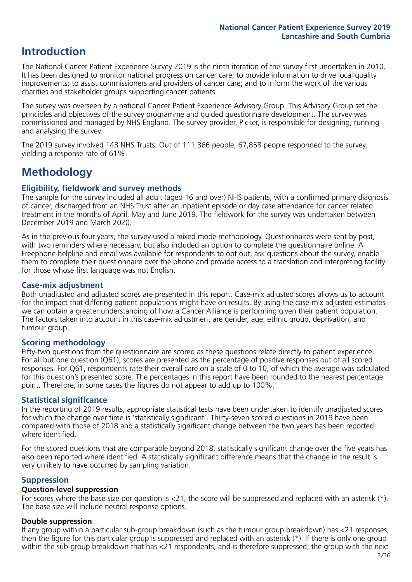### **Introduction**

The National Cancer Patient Experience Survey 2019 is the ninth iteration of the survey first undertaken in 2010. It has been designed to monitor national progress on cancer care; to provide information to drive local quality improvements; to assist commissioners and providers of cancer care; and to inform the work of the various charities and stakeholder groups supporting cancer patients.

The survey was overseen by a national Cancer Patient Experience Advisory Group. This Advisory Group set the principles and objectives of the survey programme and guided questionnaire development. The survey was commissioned and managed by NHS England. The survey provider, Picker, is responsible for designing, running and analysing the survey.

The 2019 survey involved 143 NHS Trusts. Out of 111,366 people, 67,858 people responded to the survey, yielding a response rate of 61%.

### **Methodology**

### **Eligibility, fieldwork and survey methods**

The sample for the survey included all adult (aged 16 and over) NHS patients, with a confirmed primary diagnosis of cancer, discharged from an NHS Trust after an inpatient episode or day case attendance for cancer related treatment in the months of April, May and June 2019. The fieldwork for the survey was undertaken between December 2019 and March 2020.

As in the previous four years, the survey used a mixed mode methodology. Questionnaires were sent by post, with two reminders where necessary, but also included an option to complete the questionnaire online. A Freephone helpline and email was available for respondents to opt out, ask questions about the survey, enable them to complete their questionnaire over the phone and provide access to a translation and interpreting facility for those whose first language was not English.

### **Case-mix adjustment**

Both unadjusted and adjusted scores are presented in this report. Case-mix adjusted scores allows us to account for the impact that differing patient populations might have on results. By using the case-mix adjusted estimates we can obtain a greater understanding of how a Cancer Alliance is performing given their patient population. The factors taken into account in this case-mix adjustment are gender, age, ethnic group, deprivation, and tumour group.

### **Scoring methodology**

Fifty-two questions from the questionnaire are scored as these questions relate directly to patient experience. For all but one question (Q61), scores are presented as the percentage of positive responses out of all scored responses. For Q61, respondents rate their overall care on a scale of 0 to 10, of which the average was calculated for this question's presented score. The percentages in this report have been rounded to the nearest percentage point. Therefore, in some cases the figures do not appear to add up to 100%.

### **Statistical significance**

In the reporting of 2019 results, appropriate statistical tests have been undertaken to identify unadjusted scores for which the change over time is 'statistically significant'. Thirty-seven scored questions in 2019 have been compared with those of 2018 and a statistically significant change between the two years has been reported where identified.

For the scored questions that are comparable beyond 2018, statistically significant change over the five years has also been reported where identified. A statistically significant difference means that the change in the result is very unlikely to have occurred by sampling variation.

### **Suppression**

### **Question-level suppression**

For scores where the base size per question is  $<$ 21, the score will be suppressed and replaced with an asterisk (\*). The base size will include neutral response options.

### **Double suppression**

If any group within a particular sub-group breakdown (such as the tumour group breakdown) has <21 responses, then the figure for this particular group is suppressed and replaced with an asterisk (\*). If there is only one group within the sub-group breakdown that has <21 respondents, and is therefore suppressed, the group with the next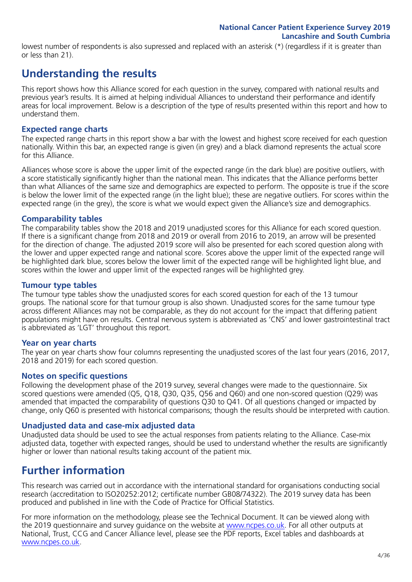lowest number of respondents is also supressed and replaced with an asterisk (\*) (regardless if it is greater than or less than 21).

### **Understanding the results**

This report shows how this Alliance scored for each question in the survey, compared with national results and previous year's results. It is aimed at helping individual Alliances to understand their performance and identify areas for local improvement. Below is a description of the type of results presented within this report and how to understand them.

### **Expected range charts**

The expected range charts in this report show a bar with the lowest and highest score received for each question nationally. Within this bar, an expected range is given (in grey) and a black diamond represents the actual score for this Alliance.

Alliances whose score is above the upper limit of the expected range (in the dark blue) are positive outliers, with a score statistically significantly higher than the national mean. This indicates that the Alliance performs better than what Alliances of the same size and demographics are expected to perform. The opposite is true if the score is below the lower limit of the expected range (in the light blue); these are negative outliers. For scores within the expected range (in the grey), the score is what we would expect given the Alliance's size and demographics.

### **Comparability tables**

The comparability tables show the 2018 and 2019 unadjusted scores for this Alliance for each scored question. If there is a significant change from 2018 and 2019 or overall from 2016 to 2019, an arrow will be presented for the direction of change. The adjusted 2019 score will also be presented for each scored question along with the lower and upper expected range and national score. Scores above the upper limit of the expected range will be highlighted dark blue, scores below the lower limit of the expected range will be highlighted light blue, and scores within the lower and upper limit of the expected ranges will be highlighted grey.

### **Tumour type tables**

The tumour type tables show the unadjusted scores for each scored question for each of the 13 tumour groups. The national score for that tumour group is also shown. Unadjusted scores for the same tumour type across different Alliances may not be comparable, as they do not account for the impact that differing patient populations might have on results. Central nervous system is abbreviated as 'CNS' and lower gastrointestinal tract is abbreviated as 'LGT' throughout this report.

### **Year on year charts**

The year on year charts show four columns representing the unadjusted scores of the last four years (2016, 2017, 2018 and 2019) for each scored question.

### **Notes on specific questions**

Following the development phase of the 2019 survey, several changes were made to the questionnaire. Six scored questions were amended (Q5, Q18, Q30, Q35, Q56 and Q60) and one non-scored question (Q29) was amended that impacted the comparability of questions Q30 to Q41. Of all questions changed or impacted by change, only Q60 is presented with historical comparisons; though the results should be interpreted with caution.

### **Unadjusted data and case-mix adjusted data**

Unadjusted data should be used to see the actual responses from patients relating to the Alliance. Case-mix adjusted data, together with expected ranges, should be used to understand whether the results are significantly higher or lower than national results taking account of the patient mix.

### **Further information**

This research was carried out in accordance with the international standard for organisations conducting social research (accreditation to ISO20252:2012; certificate number GB08/74322). The 2019 survey data has been produced and published in line with the Code of Practice for Official Statistics.

For more information on the methodology, please see the Technical Document. It can be viewed along with the 2019 questionnaire and survey guidance on the website at [www.ncpes.co.uk](https://www.ncpes.co.uk/supporting-documents). For all other outputs at National, Trust, CCG and Cancer Alliance level, please see the PDF reports, Excel tables and dashboards at [www.ncpes.co.uk.](https://www.ncpes.co.uk/current-results)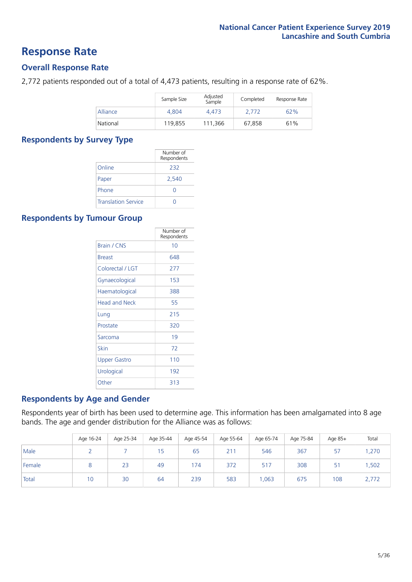### **Response Rate**

### **Overall Response Rate**

2,772 patients responded out of a total of 4,473 patients, resulting in a response rate of 62%.

|          | Sample Size | Adjusted<br>Sample | Completed | Response Rate |
|----------|-------------|--------------------|-----------|---------------|
| Alliance | 4.804       | 4.473              | 2.772     | 62%           |
| National | 119,855     | 111.366            | 67,858    | 61%           |

### **Respondents by Survey Type**

|                            | Number of<br>Respondents |
|----------------------------|--------------------------|
| Online                     | 232                      |
| Paper                      | 2,540                    |
| Phone                      |                          |
| <b>Translation Service</b> |                          |

### **Respondents by Tumour Group**

|                      | Number of<br>Respondents |
|----------------------|--------------------------|
| <b>Brain / CNS</b>   | 10                       |
| <b>Breast</b>        | 648                      |
| Colorectal / LGT     | 277                      |
| Gynaecological       | 153                      |
| Haematological       | 388                      |
| <b>Head and Neck</b> | 55                       |
| Lung                 | 215                      |
| Prostate             | 320                      |
| Sarcoma              | 19                       |
| Skin                 | 72                       |
| Upper Gastro         | 110                      |
| Urological           | 192                      |
| Other                | 313                      |

### **Respondents by Age and Gender**

Respondents year of birth has been used to determine age. This information has been amalgamated into 8 age bands. The age and gender distribution for the Alliance was as follows:

|        | Age 16-24 | Age 25-34 | Age 35-44 | Age 45-54 | Age 55-64 | Age 65-74 | Age 75-84 | Age 85+ | Total |
|--------|-----------|-----------|-----------|-----------|-----------|-----------|-----------|---------|-------|
| Male   |           |           | 15        | 65        | 211       | 546       | 367       | 57      | ,270  |
| Female |           | 23        | 49        | 174       | 372       | 517       | 308       | 51      | .502  |
| Total  | 10        | 30        | 64        | 239       | 583       | .063      | 675       | 108     | 2,772 |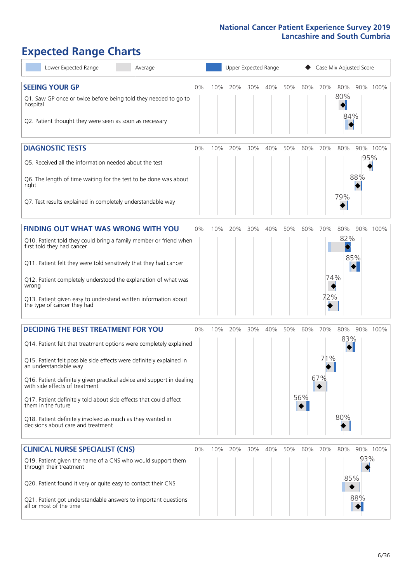# **Expected Range Charts**

| Lower Expected Range<br>Average                                                                                                                                                                                                                                                                                                                                                                                                                                               |    |     |     |     | Upper Expected Range |     |     | Case Mix Adjusted Score |                   |            |          |
|-------------------------------------------------------------------------------------------------------------------------------------------------------------------------------------------------------------------------------------------------------------------------------------------------------------------------------------------------------------------------------------------------------------------------------------------------------------------------------|----|-----|-----|-----|----------------------|-----|-----|-------------------------|-------------------|------------|----------|
| <b>SEEING YOUR GP</b><br>Q1. Saw GP once or twice before being told they needed to go to<br>hospital<br>Q2. Patient thought they were seen as soon as necessary                                                                                                                                                                                                                                                                                                               | 0% | 10% | 20% | 30% | 40%                  | 50% | 60% | 70%                     | 80%<br>80%<br>84% |            | 90% 100% |
| <b>DIAGNOSTIC TESTS</b><br>Q5. Received all the information needed about the test<br>Q6. The length of time waiting for the test to be done was about<br>right                                                                                                                                                                                                                                                                                                                | 0% | 10% | 20% | 30% | 40%                  | 50% | 60% | 70%                     | 80%<br>79%        | 95%<br>88% | 90% 100% |
| Q7. Test results explained in completely understandable way                                                                                                                                                                                                                                                                                                                                                                                                                   |    |     |     |     |                      |     |     |                         |                   |            |          |
| <b>FINDING OUT WHAT WAS WRONG WITH YOU</b><br>Q10. Patient told they could bring a family member or friend when<br>first told they had cancer<br>Q11. Patient felt they were told sensitively that they had cancer<br>Q12. Patient completely understood the explanation of what was<br>wrong                                                                                                                                                                                 | 0% | 10% | 20% | 30% | 40%                  | 50% | 60% | 70%<br>74%<br>72%       | 80%<br>82%        | 85%        | 90% 100% |
| Q13. Patient given easy to understand written information about<br>the type of cancer they had<br><b>DECIDING THE BEST TREATMENT FOR YOU</b>                                                                                                                                                                                                                                                                                                                                  | 0% | 10% | 20% | 30% | 40%                  | 50% | 60% | 70%                     | 80%               |            | 90% 100% |
| Q14. Patient felt that treatment options were completely explained<br>Q15. Patient felt possible side effects were definitely explained in<br>an understandable way<br>Q16. Patient definitely given practical advice and support in dealing<br>with side effects of treatment<br>Q17. Patient definitely told about side effects that could affect<br>them in the future<br>Q18. Patient definitely involved as much as they wanted in<br>decisions about care and treatment |    |     |     |     |                      |     | 56% | 71%<br>67%              | 83%<br>80%        |            |          |
| <b>CLINICAL NURSE SPECIALIST (CNS)</b><br>Q19. Patient given the name of a CNS who would support them<br>through their treatment<br>Q20. Patient found it very or quite easy to contact their CNS<br>Q21. Patient got understandable answers to important questions<br>all or most of the time                                                                                                                                                                                | 0% | 10% | 20% | 30% | 40%                  | 50% | 60% | 70%                     | 80%<br>85%        | 93%<br>88% | 90% 100% |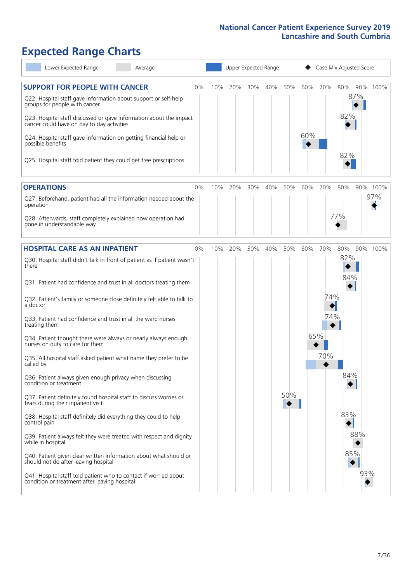# **Expected Range Charts**

| Lower Expected Range<br>Average                                                                                                                                                                                 |       |     | Upper Expected Range |     |     |     |     |                        | Case Mix Adjusted Score |     |          |
|-----------------------------------------------------------------------------------------------------------------------------------------------------------------------------------------------------------------|-------|-----|----------------------|-----|-----|-----|-----|------------------------|-------------------------|-----|----------|
| <b>SUPPORT FOR PEOPLE WITH CANCER</b><br>Q22. Hospital staff gave information about support or self-help<br>groups for people with cancer<br>Q23. Hospital staff discussed or gave information about the impact | $0\%$ | 10% | 20%                  | 30% | 40% | 50% | 60% | 70%                    | 80%<br>82%              | 87% | 90% 100% |
| cancer could have on day to day activities<br>Q24. Hospital staff gave information on getting financial help or<br>possible benefits<br>Q25. Hospital staff told patient they could get free prescriptions      |       |     |                      |     |     |     | 60% |                        | 82%                     |     |          |
|                                                                                                                                                                                                                 |       |     |                      |     |     |     |     |                        |                         |     |          |
| <b>OPERATIONS</b>                                                                                                                                                                                               | 0%    | 10% | 20%                  | 30% | 40% | 50% | 60% | 70%                    | 80%                     |     | 90% 100% |
| Q27. Beforehand, patient had all the information needed about the<br>operation                                                                                                                                  |       |     |                      |     |     |     |     |                        |                         |     | 97%      |
| Q28. Afterwards, staff completely explained how operation had<br>gone in understandable way                                                                                                                     |       |     |                      |     |     |     |     |                        | 77%                     |     |          |
| <b>HOSPITAL CARE AS AN INPATIENT</b>                                                                                                                                                                            | 0%    | 10% | 20%                  | 30% | 40% | 50% | 60% | 70%                    | 80%                     |     | 90% 100% |
| Q30. Hospital staff didn't talk in front of patient as if patient wasn't<br>there                                                                                                                               |       |     |                      |     |     |     |     |                        | 82%<br>84%              |     |          |
| Q31. Patient had confidence and trust in all doctors treating them                                                                                                                                              |       |     |                      |     |     |     |     |                        |                         |     |          |
| Q32. Patient's family or someone close definitely felt able to talk to<br>a doctor                                                                                                                              |       |     |                      |     |     |     |     | 74%<br>$\blacklozenge$ |                         |     |          |
| Q33. Patient had confidence and trust in all the ward nurses<br>treating them                                                                                                                                   |       |     |                      |     |     |     |     | 74%                    |                         |     |          |
| Q34. Patient thought there were always or nearly always enough<br>nurses on duty to care for them                                                                                                               |       |     |                      |     |     |     | 65% |                        |                         |     |          |
| Q35. All hospital staff asked patient what name they prefer to be<br>called by                                                                                                                                  |       |     |                      |     |     |     |     | 70%                    |                         |     |          |
| Q36. Patient always given enough privacy when discussing<br>condition or treatment                                                                                                                              |       |     |                      |     |     |     |     |                        | 84%                     |     |          |
| Q37. Patient definitely found hospital staff to discuss worries or<br>fears during their inpatient visit                                                                                                        |       |     |                      |     |     | 50% |     |                        |                         |     |          |
| Q38. Hospital staff definitely did everything they could to help<br>control pain                                                                                                                                |       |     |                      |     |     |     |     |                        | 83%                     |     |          |
| Q39. Patient always felt they were treated with respect and dignity<br>while in hospital                                                                                                                        |       |     |                      |     |     |     |     |                        |                         | 88% |          |
| Q40. Patient given clear written information about what should or<br>should not do after leaving hospital                                                                                                       |       |     |                      |     |     |     |     |                        | 85%                     |     |          |
| Q41. Hospital staff told patient who to contact if worried about<br>condition or treatment after leaving hospital                                                                                               |       |     |                      |     |     |     |     |                        |                         | 93% |          |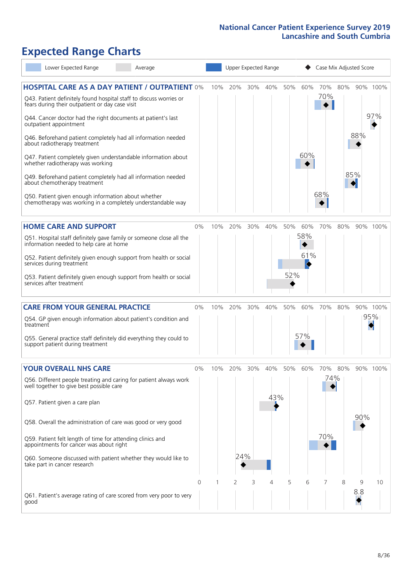# **Expected Range Charts**

| Lower Expected Range<br>Average                                                                                       |    |     | Upper Expected Range |     |             |     |     | Case Mix Adjusted Score |     |          |          |
|-----------------------------------------------------------------------------------------------------------------------|----|-----|----------------------|-----|-------------|-----|-----|-------------------------|-----|----------|----------|
| <b>HOSPITAL CARE AS A DAY PATIENT / OUTPATIENT 0%</b>                                                                 |    | 10% | 20%                  | 30% | 40%         | 50% | 60% | 70%                     | 80% |          | 90% 100% |
| Q43. Patient definitely found hospital staff to discuss worries or<br>fears during their outpatient or day case visit |    |     |                      |     |             |     |     | 70%                     |     |          |          |
| Q44. Cancer doctor had the right documents at patient's last<br>outpatient appointment                                |    |     |                      |     |             |     |     |                         |     |          | 97%      |
| Q46. Beforehand patient completely had all information needed<br>about radiotherapy treatment                         |    |     |                      |     |             |     |     |                         |     | 88%      |          |
| Q47. Patient completely given understandable information about<br>whether radiotherapy was working                    |    |     |                      |     |             |     | 60% |                         |     |          |          |
| Q49. Beforehand patient completely had all information needed<br>about chemotherapy treatment                         |    |     |                      |     |             |     |     |                         |     | 85%<br>♦ |          |
| Q50. Patient given enough information about whether<br>chemotherapy was working in a completely understandable way    |    |     |                      |     |             |     |     | 68%                     |     |          |          |
| <b>HOME CARE AND SUPPORT</b>                                                                                          | 0% | 10% | 20%                  | 30% | 40%         | 50% | 60% | 70%                     | 80% |          | 90% 100% |
| Q51. Hospital staff definitely gave family or someone close all the<br>information needed to help care at home        |    |     |                      |     |             |     | 58% |                         |     |          |          |
| Q52. Patient definitely given enough support from health or social<br>services during treatment                       |    |     |                      |     |             |     | 61% |                         |     |          |          |
| Q53. Patient definitely given enough support from health or social<br>services after treatment                        |    |     |                      |     |             | 52% |     |                         |     |          |          |
| <b>CARE FROM YOUR GENERAL PRACTICE</b>                                                                                | 0% | 10% | 20%                  | 30% | 40%         | 50% | 60% | 70%                     | 80% |          | 90% 100% |
| Q54. GP given enough information about patient's condition and<br>treatment                                           |    |     |                      |     |             |     |     |                         |     |          | 95%      |
| Q55. General practice staff definitely did everything they could to<br>support patient during treatment               |    |     |                      |     |             |     | 57% |                         |     |          |          |
| <b>YOUR OVERALL NHS CARE</b>                                                                                          | 0% | 10% | 20%                  |     | 30% 40% 50% |     | 60% | 70% 80%                 |     |          | 90% 100% |
| Q56. Different people treating and caring for patient always work<br>well together to give best possible care         |    |     |                      |     | 43%         |     |     | 74%                     |     |          |          |
| Q57. Patient given a care plan                                                                                        |    |     |                      |     |             |     |     |                         |     | 90%      |          |
| Q58. Overall the administration of care was good or very good                                                         |    |     |                      |     |             |     |     |                         |     |          |          |
| Q59. Patient felt length of time for attending clinics and<br>appointments for cancer was about right                 |    |     |                      |     |             |     |     | 70%                     |     |          |          |
| Q60. Someone discussed with patient whether they would like to<br>take part in cancer research                        |    |     | 24%                  |     |             |     |     |                         |     |          |          |
|                                                                                                                       | 0  |     | 2                    | 3   | 4           | 5   | 6   |                         | 8   | 9        | 10       |
| Q61. Patient's average rating of care scored from very poor to very<br>good                                           |    |     |                      |     |             |     |     |                         |     | 8.8      |          |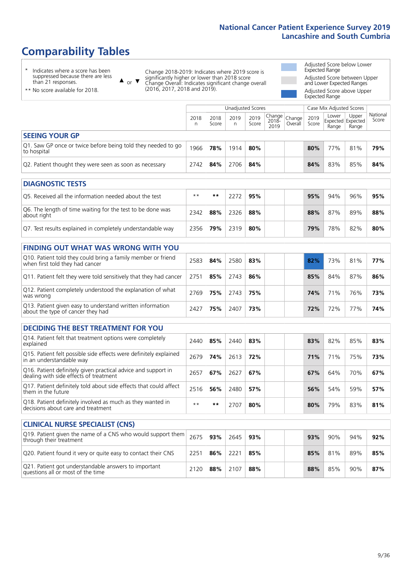# **Comparability Tables**

\* Indicates where a score has been suppressed because there are less than 21 responses.

\*\* No score available for 2018.

 $\triangle$  or  $\nabla$ 

Change 2018-2019: Indicates where 2019 score is significantly higher or lower than 2018 score Change Overall: Indicates significant change overall (2016, 2017, 2018 and 2019).

Adjusted Score below Lower Expected Range Adjusted Score between Upper and Lower Expected Ranges Adjusted Score above Upper Expected Range

|                                                                             | Case Mix Adjusted Scores<br>Unadjusted Scores |               |           |               |                                                   |         |               |                |                                     |                   |
|-----------------------------------------------------------------------------|-----------------------------------------------|---------------|-----------|---------------|---------------------------------------------------|---------|---------------|----------------|-------------------------------------|-------------------|
|                                                                             | 2018<br>n                                     | 2018<br>Score | 2019<br>n | 2019<br>Score | $\sim$  Change   Change   $\sim$<br>2018-<br>2019 | Overall | 2019<br>Score | Lower<br>Range | Upper<br>Expected Expected<br>Range | National<br>Score |
| <b>SEEING YOUR GP</b>                                                       |                                               |               |           |               |                                                   |         |               |                |                                     |                   |
| Q1. Saw GP once or twice before being told they needed to go<br>to hospital | 1966                                          | 78%           | 1914      | 80%           |                                                   |         | 80%           | 77%            | 81%                                 | 79%               |
| Q2. Patient thought they were seen as soon as necessary                     | 2742                                          | 84%           | 2706      | 84%           |                                                   |         | 84%           | 83%            | 85%                                 | 84%               |

| <b>DIAGNOSTIC TESTS</b>                                                   |       |     |      |     |  |     |     |     |     |
|---------------------------------------------------------------------------|-------|-----|------|-----|--|-----|-----|-----|-----|
| O5. Received all the information needed about the test                    | $***$ | **  | 2272 | 95% |  | 95% | 94% | 96% | 95% |
| Q6. The length of time waiting for the test to be done was<br>about right | 2342  | 88% | 2326 | 88% |  | 88% | 87% | 89% | 88% |
| Q7. Test results explained in completely understandable way               | 2356  | 79% | 2319 | 80% |  | 79% | 78% | 82% | 80% |

| <b>FINDING OUT WHAT WAS WRONG WITH YOU</b>                                                      |      |     |      |     |     |     |     |     |
|-------------------------------------------------------------------------------------------------|------|-----|------|-----|-----|-----|-----|-----|
| Q10. Patient told they could bring a family member or friend<br>when first told they had cancer | 2583 | 84% | 2580 | 83% | 82% | 73% | 81% | 77% |
| Q11. Patient felt they were told sensitively that they had cancer                               | 2751 | 85% | 2743 | 86% | 85% | 84% | 87% | 86% |
| Q12. Patient completely understood the explanation of what<br>was wrong                         | 2769 | 75% | 2743 | 75% | 74% | 71% | 76% | 73% |
| Q13. Patient given easy to understand written information<br>about the type of cancer they had  | 2427 | 75% | 2407 | 73% | 72% | 72% | 77% | 74% |

| <b>DECIDING THE BEST TREATMENT FOR YOU</b>                                                              |      |     |      |     |  |     |     |     |     |
|---------------------------------------------------------------------------------------------------------|------|-----|------|-----|--|-----|-----|-----|-----|
| Q14. Patient felt that treatment options were completely<br>explained                                   | 2440 | 85% | 2440 | 83% |  | 83% | 82% | 85% | 83% |
| Q15. Patient felt possible side effects were definitely explained<br>in an understandable way           | 2679 | 74% | 2613 | 72% |  | 71% | 71% | 75% | 73% |
| Q16. Patient definitely given practical advice and support in<br>dealing with side effects of treatment | 2657 | 67% | 2627 | 67% |  | 67% | 64% | 70% | 67% |
| Q17. Patient definitely told about side effects that could affect<br>them in the future                 | 2516 | 56% | 2480 | 57% |  | 56% | 54% | 59% | 57% |
| Q18. Patient definitely involved as much as they wanted in<br>decisions about care and treatment        | $**$ | **  | 2707 | 80% |  | 80% | 79% | 83% | 81% |

| <b>CLINICAL NURSE SPECIALIST (CNS)</b>                                                                                  |      |     |      |     |  |     |     |     |     |
|-------------------------------------------------------------------------------------------------------------------------|------|-----|------|-----|--|-----|-----|-----|-----|
| Q19. Patient given the name of a CNS who would support them $\vert$ 2675 $\vert$ 93% $\vert$<br>through their treatment |      |     | 2645 | 93% |  | 93% | 90% | 94% | 92% |
| Q20. Patient found it very or quite easy to contact their CNS                                                           | 2251 | 86% | 2221 | 85% |  | 85% | 81% | 89% | 85% |
| Q21. Patient got understandable answers to important<br>questions all or most of the time                               | 2120 | 88% | 2107 | 88% |  | 88% | 85% | 90% | 87% |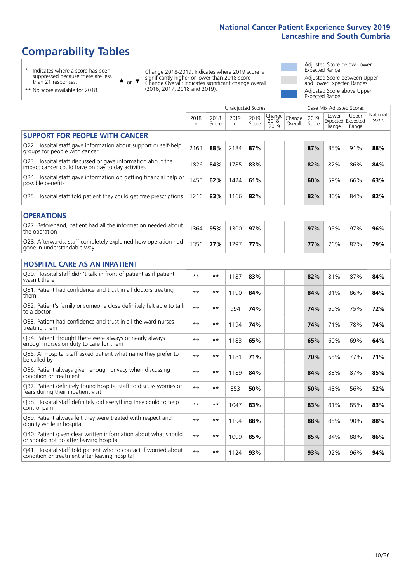## **Comparability Tables**

\* Indicates where a score has been suppressed because there are less than 21 responses.

\*\* No score available for 2018.

 $\triangle$  or  $\nabla$ 

Change 2018-2019: Indicates where 2019 score is significantly higher or lower than 2018 score Change Overall: Indicates significant change overall (2016, 2017, 2018 and 2019).

Adjusted Score below Lower Expected Range Adjusted Score between Upper and Lower Expected Ranges Adjusted Score above Upper Expected Range

|                                                                                                                   |           |               | <b>Unadjusted Scores</b> |               |                         |                   |               | Case Mix Adjusted Scores |                                     |                   |
|-------------------------------------------------------------------------------------------------------------------|-----------|---------------|--------------------------|---------------|-------------------------|-------------------|---------------|--------------------------|-------------------------------------|-------------------|
|                                                                                                                   | 2018<br>n | 2018<br>Score | 2019<br>n                | 2019<br>Score | Change<br>2018-<br>2019 | Change<br>Overall | 2019<br>Score | Lower<br>Range           | Upper<br>Expected Expected<br>Range | National<br>Score |
| <b>SUPPORT FOR PEOPLE WITH CANCER</b>                                                                             |           |               |                          |               |                         |                   |               |                          |                                     |                   |
| Q22. Hospital staff gave information about support or self-help<br>groups for people with cancer                  | 2163      | 88%           | 2184                     | 87%           |                         |                   | 87%           | 85%                      | 91%                                 | 88%               |
| Q23. Hospital staff discussed or gave information about the<br>impact cancer could have on day to day activities  | 1826      | 84%           | 1785                     | 83%           |                         |                   | 82%           | 82%                      | 86%                                 | 84%               |
| Q24. Hospital staff gave information on getting financial help or<br>possible benefits                            | 1450      | 62%           | 1424                     | 61%           |                         |                   | 60%           | 59%                      | 66%                                 | 63%               |
| Q25. Hospital staff told patient they could get free prescriptions                                                | 1216      | 83%           | 1166                     | 82%           |                         |                   | 82%           | 80%                      | 84%                                 | 82%               |
| <b>OPERATIONS</b>                                                                                                 |           |               |                          |               |                         |                   |               |                          |                                     |                   |
| Q27. Beforehand, patient had all the information needed about<br>the operation                                    | 1364      | 95%           | 1300                     | 97%           |                         |                   | 97%           | 95%                      | 97%                                 | 96%               |
| Q28. Afterwards, staff completely explained how operation had<br>gone in understandable way                       | 1356      | 77%           | 1297                     | 77%           |                         |                   | 77%           | 76%                      | 82%                                 | 79%               |
| <b>HOSPITAL CARE AS AN INPATIENT</b>                                                                              |           |               |                          |               |                         |                   |               |                          |                                     |                   |
| Q30. Hospital staff didn't talk in front of patient as if patient<br>wasn't there                                 | $* *$     | $***$         | 1187                     | 83%           |                         |                   | 82%           | 81%                      | 87%                                 | 84%               |
| Q31. Patient had confidence and trust in all doctors treating<br>them                                             | $**$      | $***$         | 1190                     | 84%           |                         |                   | 84%           | 81%                      | 86%                                 | 84%               |
| Q32. Patient's family or someone close definitely felt able to talk<br>to a doctor                                | $* *$     | $***$         | 994                      | 74%           |                         |                   | 74%           | 69%                      | 75%                                 | 72%               |
| O33. Patient had confidence and trust in all the ward nurses<br>treating them                                     | $**$      | $***$         | 1194                     | 74%           |                         |                   | 74%           | 71%                      | 78%                                 | 74%               |
| Q34. Patient thought there were always or nearly always<br>enough nurses on duty to care for them                 | $**$      | $***$         | 1183                     | 65%           |                         |                   | 65%           | 60%                      | 69%                                 | 64%               |
| Q35. All hospital staff asked patient what name they prefer to<br>be called by                                    | $* *$     | $***$         | 1181                     | 71%           |                         |                   | 70%           | 65%                      | 77%                                 | 71%               |
| Q36. Patient always given enough privacy when discussing<br>condition or treatment                                | $* *$     | $***$         | 1189                     | 84%           |                         |                   | 84%           | 83%                      | 87%                                 | 85%               |
| Q37. Patient definitely found hospital staff to discuss worries or<br>fears during their inpatient visit          | $* *$     | $***$         | 853                      | 50%           |                         |                   | 50%           | 48%                      | 56%                                 | 52%               |
| Q38. Hospital staff definitely did everything they could to help<br>control pain                                  | $* *$     | $***$         | 1047                     | 83%           |                         |                   | 83%           | 81%                      | 85%                                 | 83%               |
| Q39. Patient always felt they were treated with respect and<br>dignity while in hospital                          | $* *$     | $***$         | 1194                     | 88%           |                         |                   | 88%           | 85%                      | 90%                                 | 88%               |
| Q40. Patient given clear written information about what should<br>or should not do after leaving hospital         | $* *$     | **            | 1099                     | 85%           |                         |                   | 85%           | 84%                      | 88%                                 | 86%               |
| Q41. Hospital staff told patient who to contact if worried about<br>condition or treatment after leaving hospital | $**$      | $***$         | 1124                     | 93%           |                         |                   | 93%           | 92%                      | 96%                                 | 94%               |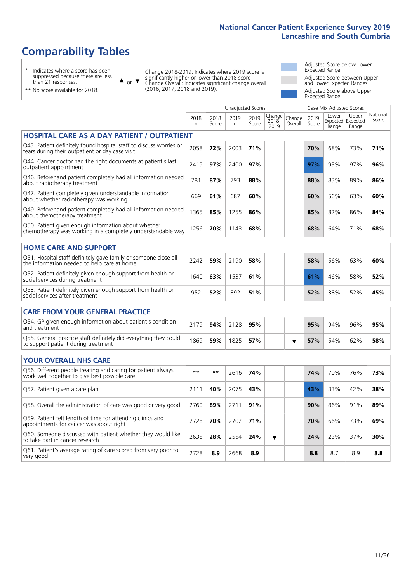## **Comparability Tables**

\* Indicates where a score has been suppressed because there are less than 21 responses.

 $\triangle$  or  $\nabla$ 

Change 2018-2019: Indicates where 2019 score is significantly higher or lower than 2018 score Change Overall: Indicates significant change overall (2016, 2017, 2018 and 2019).

 $\sqrt{ }$ 

Adjusted Score below Lower Expected Range Adjusted Score between Upper and Lower Expected Ranges Adjusted Score above Upper Expected Range

\*\* No score available for 2018.

|                                                                                                                       |              |               | <b>Unadjusted Scores</b> |               |                            |                   |               | Case Mix Adjusted Scores            |                |                   |
|-----------------------------------------------------------------------------------------------------------------------|--------------|---------------|--------------------------|---------------|----------------------------|-------------------|---------------|-------------------------------------|----------------|-------------------|
|                                                                                                                       | 2018<br>n    | 2018<br>Score | 2019<br>n                | 2019<br>Score | Change<br>$2018 -$<br>2019 | Change<br>Overall | 2019<br>Score | Lower<br>Expected Expected<br>Range | Upper<br>Range | National<br>Score |
| <b>HOSPITAL CARE AS A DAY PATIENT / OUTPATIENT</b>                                                                    |              |               |                          |               |                            |                   |               |                                     |                |                   |
| Q43. Patient definitely found hospital staff to discuss worries or<br>fears during their outpatient or day case visit | 2058         | 72%           | 2003                     | 71%           |                            |                   | 70%           | 68%                                 | 73%            | 71%               |
| Q44. Cancer doctor had the right documents at patient's last<br>outpatient appointment                                | 2419         | 97%           | 2400                     | 97%           |                            |                   | 97%           | 95%                                 | 97%            | 96%               |
| Q46. Beforehand patient completely had all information needed<br>about radiotherapy treatment                         | 781          | 87%           | 793                      | 88%           |                            |                   | 88%           | 83%                                 | 89%            | 86%               |
| Q47. Patient completely given understandable information<br>about whether radiotherapy was working                    | 669          | 61%           | 687                      | 60%           |                            |                   | 60%           | 56%                                 | 63%            | 60%               |
| Q49. Beforehand patient completely had all information needed<br>about chemotherapy treatment                         | 1365         | 85%           | 1255                     | 86%           |                            |                   | 85%           | 82%                                 | 86%            | 84%               |
| Q50. Patient given enough information about whether<br>chemotherapy was working in a completely understandable way    | 1256         | 70%           | 1143                     | 68%           |                            |                   | 68%           | 64%                                 | 71%            | 68%               |
| <b>HOME CARE AND SUPPORT</b>                                                                                          |              |               |                          |               |                            |                   |               |                                     |                |                   |
| Q51. Hospital staff definitely gave family or someone close all<br>the information needed to help care at home        | 2242         | 59%           | 2190                     | 58%           |                            |                   | 58%           | 56%                                 | 63%            | 60%               |
| Q52. Patient definitely given enough support from health or<br>social services during treatment                       | 1640         | 63%           | 1537                     | 61%           |                            |                   | 61%           | 46%                                 | 58%            | 52%               |
| Q53. Patient definitely given enough support from health or<br>social services after treatment                        | 952          | 52%           | 892                      | 51%           |                            |                   | 52%           | 38%                                 | 52%            | 45%               |
| <b>CARE FROM YOUR GENERAL PRACTICE</b>                                                                                |              |               |                          |               |                            |                   |               |                                     |                |                   |
| Q54. GP given enough information about patient's condition<br>and treatment                                           | 2179         | 94%           | 2128                     | 95%           |                            |                   | 95%           | 94%                                 | 96%            | 95%               |
| Q55. General practice staff definitely did everything they could<br>to support patient during treatment               | 1869         | 59%           | 1825                     | 57%           |                            | ▼                 | 57%           | 54%                                 | 62%            | 58%               |
| <b>YOUR OVERALL NHS CARE</b>                                                                                          |              |               |                          |               |                            |                   |               |                                     |                |                   |
| Q56. Different people treating and caring for patient always<br>work well together to give best possible care         | $\star\star$ | $***$         | 2616                     | 74%           |                            |                   | 74%           | 70%                                 | 76%            | 73%               |
| Q57. Patient given a care plan                                                                                        | 2111         | 40%           | 2075                     | 43%           |                            |                   | 43%           | 33%                                 | 42%            | 38%               |
| Q58. Overall the administration of care was good or very good                                                         | 2760         | 89%           | 2711                     | 91%           |                            |                   | 90%           | 86%                                 | 91%            | 89%               |
| Q59. Patient felt length of time for attending clinics and<br>appointments for cancer was about right                 | 2728         | 70%           | 2702                     | 71%           |                            |                   | 70%           | 66%                                 | 73%            | 69%               |
| Q60. Someone discussed with patient whether they would like<br>to take part in cancer research                        | 2635         | 28%           | 2554                     | 24%           | ▼                          |                   | 24%           | 23%                                 | 37%            | 30%               |
| Q61. Patient's average rating of care scored from very poor to<br>very good                                           | 2728         | 8.9           | 2668                     | 8.9           |                            |                   | 8.8           | 8.7                                 | 8.9            | 8.8               |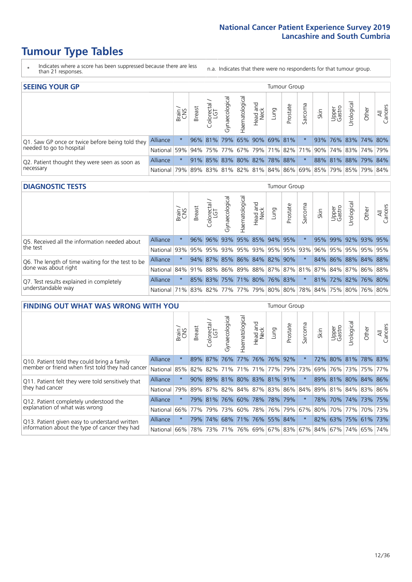- \* Indicates where a score has been suppressed because there are less than 21 responses.
- n.a. Indicates that there were no respondents for that tumour group.

| <b>SEEING YOUR GP</b>                           |                 |       |               |                   |                                     |                |                  |                             | Tumour Group |         |      |                 |                                                     |       |                |
|-------------------------------------------------|-----------------|-------|---------------|-------------------|-------------------------------------|----------------|------------------|-----------------------------|--------------|---------|------|-----------------|-----------------------------------------------------|-------|----------------|
|                                                 |                 | Brain | <b>Breast</b> | Colorectal<br>LGT | $\overline{\sigma}$<br>Gynaecologic | Haematological | Head and<br>Neck | Lung                        | Prostate     | Sarcoma | Skin | Upper<br>Gastro | Urological                                          | Other | All<br>Cancers |
| Q1. Saw GP once or twice before being told they | Alliance        |       |               | $96\%$ 81%        |                                     |                |                  | 79% 65% 90% 69% 81%         |              |         | 93%  |                 | 76% 83% 74% 80%                                     |       |                |
| needed to go to hospital                        | National        | 59%   |               |                   |                                     |                |                  |                             |              |         |      |                 | 94% 75% 77% 67% 79% 71% 82% 71% 90% 74% 83% 74% 79% |       |                |
| Q2. Patient thought they were seen as soon as   | <b>Alliance</b> |       |               |                   |                                     |                |                  | 91% 85% 83% 80% 82% 78% 88% |              |         |      |                 | 88% 81% 88% 79% 84%                                 |       |                |
| necessary                                       | National I      | 79%   |               |                   |                                     |                |                  |                             |              |         |      |                 | 89% 83% 81% 82% 81% 84% 86% 69% 85% 79% 85% 79% 84% |       |                |

#### **DIAGNOSTIC TESTS** Tumour Group

|                                                   |                                                                  | Brain | Breast | olorectal<br>LGT<br>$\cup$ | ᠊ᢛ<br>Gynaecologic | aematological | Head and<br>Neck | Lung                        | Prostate | Sarcoma | Skin | Upper<br>Gastro | Jrological                                              | Other | All<br>Cancers |
|---------------------------------------------------|------------------------------------------------------------------|-------|--------|----------------------------|--------------------|---------------|------------------|-----------------------------|----------|---------|------|-----------------|---------------------------------------------------------|-------|----------------|
| Q5. Received all the information needed about     | Alliance                                                         |       |        | 96% 96%                    |                    |               |                  | 93% 95% 85% 94%             | 95%      |         | 95%  | 99%             | 92% 93% 95%                                             |       |                |
| the test                                          | National                                                         | 93%   | 95%    | 95%                        |                    |               |                  | 93% 95% 93% 95% 95% 93%     |          |         | 96%  |                 | 95% 95% 95% 95%                                         |       |                |
| Q6. The length of time waiting for the test to be | <b>Alliance</b>                                                  |       |        | 94% 87%                    |                    |               |                  | 85% 86% 84% 82% 90%         |          |         |      |                 | 84% 86% 88% 84% 88%                                     |       |                |
| done was about right                              | National                                                         |       |        |                            |                    |               |                  |                             |          |         |      |                 | 84% 91% 88% 86% 89% 88% 87% 87% 81% 87% 84% 87% 86% 88% |       |                |
| Q7. Test results explained in completely          | Alliance                                                         |       |        |                            |                    |               |                  | 85% 83% 75% 71% 80% 76% 83% |          | $\star$ |      |                 | 81% 72% 82% 76% 80%                                     |       |                |
| understandable way                                | National 71% 83% 82% 77% 77% 79% 80% 80% 78% 84% 75% 80% 76% 80% |       |        |                            |                    |               |                  |                             |          |         |      |                 |                                                         |       |                |

| <b>FINDING OUT WHAT WAS WRONG WITH YOU</b>        |          |         |               |            |                |                                 |                  |      | <b>Tumour Group</b> |         |      |                 |                     |         |                |
|---------------------------------------------------|----------|---------|---------------|------------|----------------|---------------------------------|------------------|------|---------------------|---------|------|-----------------|---------------------|---------|----------------|
|                                                   |          | Brain   | <b>Breast</b> | Colorectal | Gynaecological | Haematological                  | Head and<br>Neck | Lung | Prostate            | Sarcoma | Skin | Upper<br>Gastro | Urological          | Other   | All<br>Cancers |
| Q10. Patient told they could bring a family       | Alliance | $\star$ | 89%           | 87%        | 76%            | 77%                             | 76%              | 76%  | 92%                 | $\star$ | 72%  | 80%             | 81%                 | 78% 83% |                |
| member or friend when first told they had cancer  | National | 85%     | 82%           | 82%        |                | 71% 71% 71%                     |                  |      | 77% 79%             | 73%     | 69%  |                 | 76% 73%             |         | 75% 77%        |
| Q11. Patient felt they were told sensitively that | Alliance | $\star$ | $90\%$        |            |                | 89% 81% 80% 83% 81% 91%         |                  |      |                     |         |      |                 | 89% 81% 80% 84% 86% |         |                |
| they had cancer                                   | National | 79%     |               |            |                | 89% 87% 82% 84% 87% 83% 86% 84% |                  |      |                     |         |      |                 | 89% 81% 84% 83% 86% |         |                |
| Q12. Patient completely understood the            | Alliance | $\star$ |               | 79% 81%    |                | 76% 60% 78% 78% 79%             |                  |      |                     |         | 78%  |                 | 70% 74% 73% 75%     |         |                |
| explanation of what was wrong                     | National | 66%     | 77%           | 79%        | 73%            |                                 | 60%   78%   76%  |      | 79%                 | 67%     | 80%  |                 | 70% 77%             |         | 70% 73%        |
| Q13. Patient given easy to understand written     | Alliance | $\star$ | 79%           | 74%        |                | 68% 71% 76% 55% 84%             |                  |      |                     | $\star$ |      |                 | 82% 63% 75% 61%     |         | 73%            |
| information about the type of cancer they had     | National | 66%     | 78%           | 73%        |                | 71% 76% 69% 67% 83% 67%         |                  |      |                     |         |      |                 | 84%   67%   74%     | 65%     | 74%            |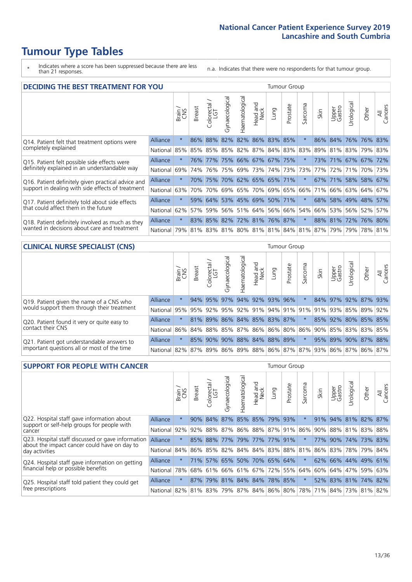\* Indicates where a score has been suppressed because there are less than 21 responses.

n.a. Indicates that there were no respondents for that tumour group.

| <b>DECIDING THE BEST TREATMENT FOR YOU</b>         |                 |         |               |                            |                |                |                             |         | <b>Tumour Group</b> |                         |      |                 |             |             |                |
|----------------------------------------------------|-----------------|---------|---------------|----------------------------|----------------|----------------|-----------------------------|---------|---------------------|-------------------------|------|-----------------|-------------|-------------|----------------|
|                                                    |                 | Brain   | <b>Breast</b> | ╮<br>olorectal<br>LGT<br>Ũ | Gynaecological | Haematological | ad and<br>Neck<br>Head      | Lung    | Prostate            | arcoma<br>ιñ            | Skin | Upper<br>Gastro | Jrological  | Other       | All<br>Cancers |
| Q14. Patient felt that treatment options were      | <b>Alliance</b> | $\star$ | 86%           | 88%                        | 82%            |                | 82% 86% 83%                 |         | 85%                 |                         | 86%  | 84%             | 76%         | 76%         | 83%            |
| completely explained                               | National        | 85%     | 85%           | 85%                        |                | 85% 82%        | 87%                         |         | 84% 83%             | 83%                     | 89%  | 81%             | 83%         | 79% 83%     |                |
| Q15. Patient felt possible side effects were       | Alliance        | $\star$ | 76%           | 177%                       |                |                | 75% 66% 67% 67% 75%         |         |                     | 大                       | 73%  | 71% 67% 67% 72% |             |             |                |
| definitely explained in an understandable way      | National        | 69%     | 74%           | 76%                        |                |                | 75% 69% 73%                 |         | 74% 73%             | 73%                     | 77%  | 72%             | 71%         | 70% 73%     |                |
| Q16. Patient definitely given practical advice and | Alliance        | $\star$ | 70%           | 75%                        |                |                | 70% 62% 65% 65% 71%         |         |                     | $\ast$                  | 67%  | $ 71\% $        |             | 58% 58% 67% |                |
| support in dealing with side effects of treatment  | National        | 63%     | 70%           | 70%                        |                | 69% 65%        | 70%                         | 69% 65% |                     | 66%                     | 71%  | 66%             |             | 63% 64%     | 67%            |
| Q17. Patient definitely told about side effects    | <b>Alliance</b> | $\star$ |               | 59% 64%                    |                |                | 53% 45% 69%                 |         | 50% 71%             | $\star$                 | 68%  |                 | 58% 49% 48% |             | 57%            |
| that could affect them in the future               | National        | 62%     | 57%           | 59%                        |                | 56% 51%        | 64%                         | 56%     | 66%                 | 54%                     | 66%  | 53%             | 56%         | 52%         | 57%            |
| Q18. Patient definitely involved as much as they   | <b>Alliance</b> | $\star$ |               |                            |                |                | 83% 85% 82% 72% 81% 76% 87% |         |                     |                         |      | 88% 81%         | 72% 76% 80% |             |                |
| wanted in decisions about care and treatment       | National        | 79%     | 81%           | 83%                        |                |                |                             |         |                     | 81% 80% 81% 81% 84% 81% | 87%  | 79%             | 79%         | 78%         | 81%            |

### **CLINICAL NURSE SPECIALIST (CNS)** Tumour Group

|                                             |          | Brain<br>CNS | <b>Breast</b>   | Colorectal<br>LGT | Gynaecologic                | ᠊ᢛ<br>Ü<br>aematologi | Head and<br>Neck | Lung | Prostate | Sarcoma | Skin | Upper<br>Gastro | ᅙ<br>Irologica | Other                                                                       | All<br>Cancers |
|---------------------------------------------|----------|--------------|-----------------|-------------------|-----------------------------|-----------------------|------------------|------|----------|---------|------|-----------------|----------------|-----------------------------------------------------------------------------|----------------|
| Q19. Patient given the name of a CNS who    | Alliance | $\star$      |                 | 94% 95%           | 97%                         |                       | 94% 92% 93% 96%  |      |          |         |      | 84% 97%         |                | 92% 87% 93%                                                                 |                |
| would support them through their treatment  | National |              | 95% 95% 92% 95% |                   |                             |                       | 92% 91%          |      |          |         |      |                 |                | 94% 91% 91% 91% 93% 85% 89%                                                 | 92%            |
| Q20. Patient found it very or quite easy to | Alliance |              |                 |                   | 81% 89% 86% 84% 85% 83% 87% |                       |                  |      |          | $\star$ |      |                 |                | 85% 92% 80% 85% 85%                                                         |                |
| contact their CNS                           | National |              |                 |                   |                             |                       |                  |      |          |         |      |                 |                | 86% 84% 88% 85% 87% 86% 86% 80% 86% 90% 85% 83% 83%                         | 85%            |
| Q21. Patient got understandable answers to  | Alliance | $\star$      | 85%             | 90%               | 90%                         |                       | 88% 84% 88% 89%  |      |          | $\star$ |      | 95% 89% 90%     |                | 87% 88%                                                                     |                |
| important questions all or most of the time | National |              |                 |                   |                             |                       |                  |      |          |         |      |                 |                | 82%   87%   89%   86%   89%   88%   86%   87%   87%   93%   86%   87%   86% | 87%            |

| <b>SUPPORT FOR PEOPLE WITH CANCER</b>                                                             |                 |         |               |                        |                |                |                        |                             | <b>Tumour Group</b> |         |      |                 |                             |         |                |
|---------------------------------------------------------------------------------------------------|-----------------|---------|---------------|------------------------|----------------|----------------|------------------------|-----------------------------|---------------------|---------|------|-----------------|-----------------------------|---------|----------------|
|                                                                                                   |                 | Brain   | <b>Breast</b> | olorectal.<br>LGT<br>Ũ | Gynaecological | Haematological | ad and<br>Neck<br>Head | Lung                        | Prostate            | Sarcoma | Skin | Upper<br>Gastro | Jrological                  | Other   | All<br>Cancers |
| Q22. Hospital staff gave information about<br>support or self-help groups for people with         | Alliance        | $\star$ | 90%           | 84%                    | 87%            | 85% 85%        |                        | 79%                         | 93%                 | $\star$ | 91%  |                 | 94% 81% 82% 87%             |         |                |
| cancer                                                                                            | National        | 92%     | 92%           | 88%                    |                |                |                        | 87% 86% 88% 87% 91%         |                     | 86%     | 90%  |                 | 88% 81%                     | 83% 88% |                |
| Q23. Hospital staff discussed or gave information<br>about the impact cancer could have on day to | <b>Alliance</b> | $\star$ |               | 85% 88%                |                | 77% 79% 77%    |                        | 77% 91%                     |                     | $\star$ | 77%  | 90%             | 74%                         | 73% 83% |                |
| day activities                                                                                    | National        | 84%     | 86%           | 85%                    |                |                |                        | 82% 84% 84% 83% 88%         |                     | 81%     | 86%  |                 | 83% 78%                     | 79% 84% |                |
| Q24. Hospital staff gave information on getting                                                   | Alliance        | $\star$ |               |                        |                |                |                        | 71% 57% 65% 50% 70% 65% 64% |                     |         |      |                 | 62% 66% 44% 49% 61%         |         |                |
| financial help or possible benefits                                                               | National        | 78%     | 68%           | 61%                    |                |                |                        | 66% 61% 67% 72% 55%         |                     | 64%     | 60%  |                 | 64% 47%                     | 59% 63% |                |
| Q25. Hospital staff told patient they could get                                                   | <b>Alliance</b> | $\star$ | 87%           | 79%                    |                |                |                        | 81% 84% 84% 78% 85%         |                     | $\star$ |      |                 | 52% 83% 81% 74% 82%         |         |                |
| free prescriptions                                                                                | National        | $82\%$  |               | 81% 83%                |                |                |                        | 79%   87%   84%   86%   80% |                     | 78%     |      |                 | 71%   84%   73%   81%   82% |         |                |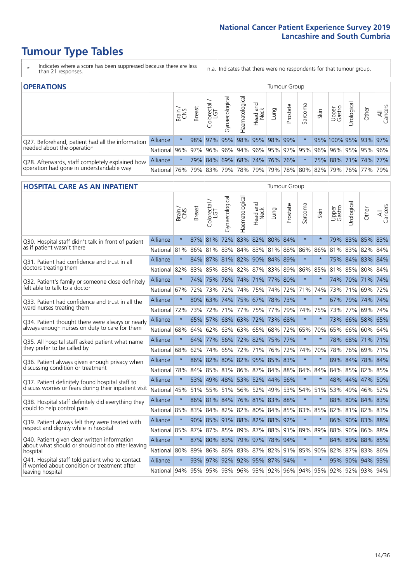- \* Indicates where a score has been suppressed because there are less than 21 responses.
- n.a. Indicates that there were no respondents for that tumour group.

| <b>OPERATIONS</b>                                |                 |       |               |                        |                                   |                |                             |      | Tumour Group |         |      |                 |            |                                                         |                |
|--------------------------------------------------|-----------------|-------|---------------|------------------------|-----------------------------------|----------------|-----------------------------|------|--------------|---------|------|-----------------|------------|---------------------------------------------------------|----------------|
|                                                  |                 | Brain | <b>Breast</b> | iolorectal<br>LGT<br>Ü | $\overline{\sigma}$<br>haecologic | Haematological | ad and<br>Neck<br>Head      | Lung | Prostate     | Sarcoma | Skin | Upper<br>Gastro | Jrological | Other                                                   | All<br>Cancers |
| Q27. Beforehand, patient had all the information | <b>Alliance</b> |       |               | 98% 97%                | 95%                               |                | 98% 95% 98% 99%             |      |              |         |      |                 |            | 95% 100% 95% 93% 97%                                    |                |
| needed about the operation                       | National        |       |               |                        |                                   |                |                             |      |              |         |      |                 |            | 96% 97% 96% 96% 94% 96% 95% 97% 95% 96% 96% 95% 95% 96% |                |
| Q28. Afterwards, staff completely explained how  | <b>Alliance</b> |       |               |                        |                                   |                | 79% 84% 69% 68% 74% 76% 76% |      |              |         |      |                 |            | 75% 88% 71% 74% 77%                                     |                |
| operation had gone in understandable way         | National 76%    |       |               |                        |                                   |                |                             |      |              |         |      |                 |            | 79% 83% 79% 78% 79% 79% 78% 80% 82% 79% 76% 77%         | 79%            |

#### **HOSPITAL CARE AS AN INPATIENT** Tumour Group

|                                                                                                  |                                                                  | Brain   | Breast | Colorectal /<br>LGT | Gynaecological | Haematological              | Head and<br>Neck | Lung        | Prostate | Sarcoma | Skin    | Upper<br>Gastro | Urological      | Other   | All<br>Cancers |
|--------------------------------------------------------------------------------------------------|------------------------------------------------------------------|---------|--------|---------------------|----------------|-----------------------------|------------------|-------------|----------|---------|---------|-----------------|-----------------|---------|----------------|
| Q30. Hospital staff didn't talk in front of patient                                              | Alliance                                                         | $\star$ |        | 87% 81%             |                | 72% 83% 82% 80% 84%         |                  |             |          | $\star$ | $\star$ |                 | 79% 83% 85% 83% |         |                |
| as if patient wasn't there                                                                       | National                                                         | 81%     | 86%    | 81%                 | 83%            | 84%                         |                  | 83% 81%     | 88%      | 86%     | 86%     | 81%             | 83%             | 82%     | 84%            |
| Q31. Patient had confidence and trust in all                                                     | Alliance                                                         | $\star$ |        |                     |                | 84% 87% 81% 82% 90% 84% 89% |                  |             |          | $\star$ | $\star$ |                 | 75% 84% 83% 84% |         |                |
| doctors treating them                                                                            | National                                                         | 82%     |        |                     |                | 83% 85% 83% 82% 87% 83% 89% |                  |             |          | 86%     | 85%     |                 | 81% 85% 80% 84% |         |                |
| Q32. Patient's family or someone close definitely                                                | Alliance                                                         | $\star$ |        | 74% 75%             | 76%            | 74% 71% 77%                 |                  |             | 80%      | $\star$ | $\ast$  |                 | 74% 70% 71% 74% |         |                |
| felt able to talk to a doctor                                                                    | National                                                         | 67%     | 72%    | 73%                 | 72%            | 74%                         |                  | 75% 74%     | 72%      | 71%     | 74%     |                 | 73% 71%         | 69%     | 72%            |
| Q33. Patient had confidence and trust in all the                                                 | Alliance                                                         | $\star$ |        |                     |                | 80% 63% 74% 75% 67% 78% 73% |                  |             |          | $\star$ | $\ast$  |                 | 67% 79% 74% 74% |         |                |
| ward nurses treating them                                                                        | National                                                         | 72%     | 73%    | 72%                 |                | 71% 77%                     |                  | 75% 77%     | 79%      | 74%     | 75%     |                 | 73% 77%         | 69% 74% |                |
| Q34. Patient thought there were always or nearly                                                 | Alliance                                                         | $\star$ | 65%    | 57%                 | 68%            | 63%                         | 72%              | 73%         | 68%      | $\star$ | $\star$ | 73%             | 66%             | 58%     | 65%            |
| always enough nurses on duty to care for them                                                    | National                                                         | 68%     | 64%    | 62%                 | 63%            | 63%                         |                  | 65% 68%     | 72%      | 65%     | 70%     | 65%             | 66%             | 60% 64% |                |
| Q35. All hospital staff asked patient what name                                                  | Alliance                                                         | $\star$ |        | 64% 77%             |                | 56% 72% 82% 75% 77%         |                  |             |          | $\star$ | $\star$ |                 | 78% 68% 71% 71% |         |                |
| they prefer to be called by                                                                      | National                                                         | 68%     | 62%    | 74%                 | 65%            | 72%                         |                  | 71% 76%     | 72%      | 74%     | 70%     | 78%             | 76%             | 69% 71% |                |
| Q36. Patient always given enough privacy when                                                    | Alliance                                                         | $\star$ |        | 86% 82%             |                | 80% 82% 95% 85%             |                  |             | 83%      | $\star$ | $\star$ | 89%             | 84%             | 78% 84% |                |
| discussing condition or treatment                                                                | National                                                         | 78%     |        |                     |                | 84% 85% 81% 86% 87% 84% 88% |                  |             |          | 84%     | 84%     |                 | 84% 85%         | 82% 85% |                |
| Q37. Patient definitely found hospital staff to                                                  | Alliance                                                         | $\star$ | 53%    |                     |                | 49% 48% 53% 52% 44%         |                  |             | 56%      | $\star$ | $\star$ |                 | 48% 44% 47%     |         | 50%            |
| discuss worries or fears during their inpatient visit                                            | National                                                         | 45%     |        |                     |                | 51% 55% 51% 56% 52% 49%     |                  |             | 53%      | 54%     | 51%     |                 | 53% 49% 46% 52% |         |                |
| Q38. Hospital staff definitely did everything they                                               | <b>Alliance</b>                                                  | $\star$ |        |                     |                | 86% 81% 84% 76% 81% 83%     |                  |             | 88%      | $\star$ | $\star$ |                 | 88% 80% 84% 83% |         |                |
| could to help control pain                                                                       | National                                                         | 85%     | 83%    |                     |                | 84% 82% 82% 80% 84%         |                  |             | 85%      | 83%     | 85%     |                 | 82% 81% 82% 83% |         |                |
| Q39. Patient always felt they were treated with                                                  | Alliance                                                         | $\star$ |        |                     |                | 90% 85% 91% 88% 82% 88%     |                  |             | 92%      | $\star$ | $\star$ |                 | 86% 90% 83% 88% |         |                |
| respect and dignity while in hospital                                                            | National                                                         | 85%     | 87%    | 87%                 | 85%            | 89%                         | 87%              | 88%         | 91%      | 89%     | 89%     | 88%             | 90%             | 86%     | 88%            |
| Q40. Patient given clear written information<br>about what should or should not do after leaving | Alliance                                                         | $\star$ |        | 87% 80% 83%         |                | 79% 97% 78%                 |                  |             | 94%      | $\star$ | $\star$ |                 | 84% 89% 88% 85% |         |                |
| hospital                                                                                         | National I                                                       | 80%     | 89%    | 86%                 | 86%            |                             |                  | 83% 87% 82% | 91%      | 85%     | 90%     |                 | 82% 87% 83% 86% |         |                |
| Q41. Hospital staff told patient who to contact<br>if worried about condition or treatment after | Alliance                                                         | $\star$ | $93\%$ |                     |                | 97% 92% 92% 95% 87% 94%     |                  |             |          | $\star$ | $\star$ |                 | 95% 90% 94% 93% |         |                |
| leaving hospital                                                                                 | National 94% 95% 95% 93% 96% 93% 92% 96% 94% 95% 92% 92% 93% 94% |         |        |                     |                |                             |                  |             |          |         |         |                 |                 |         |                |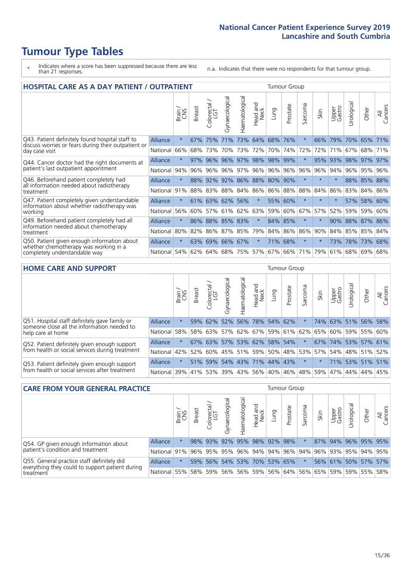- \* Indicates where a score has been suppressed because there are less than 21 responses.
- n.a. Indicates that there were no respondents for that tumour group.

| <b>HOSPITAL CARE AS A DAY PATIENT / OUTPATIENT</b>                                         |          |         | <b>Tumour Group</b> |                            |                     |                |                         |             |                     |             |         |                 |             |             |                |
|--------------------------------------------------------------------------------------------|----------|---------|---------------------|----------------------------|---------------------|----------------|-------------------------|-------------|---------------------|-------------|---------|-----------------|-------------|-------------|----------------|
|                                                                                            |          | Brain   | Breast              | ╮<br>olorectal<br>LGT<br>Ū | Gynaecological      | Haematological | aad and<br>Neck<br>Head | Lung        | Prostate            | arcoma<br>S | Skin    | Upper<br>Gastro | Urological  | Other       | All<br>Cancers |
| Q43. Patient definitely found hospital staff to                                            | Alliance | $\star$ | 67%                 | 75%                        | 71%                 | 73%            | 64%                     | 68%         | 76%                 | $\star$     | 66%     | 79%             | 70%         | 65%         | 71%            |
| discuss worries or fears during their outpatient or<br>day case visit                      | National | 66%     | 68%                 | 73%                        | 70%                 | 73%            | 72%                     | 70%         | 74%                 | 72%         | 72%     | 71%             | 67%         | 68%         | 71%            |
| Q44. Cancer doctor had the right documents at                                              | Alliance | $\star$ | 97%                 | 96%                        |                     |                | 96% 97% 98%             | 98%         | 99%                 | $\star$     | 95%     | 93%             |             | 98% 97%     | 97%            |
| patient's last outpatient appointment                                                      | National | 94%     | 96%                 | 96%                        | 96%                 | 97%            | 96%                     | 96%         | 96%                 | 96%         | 96%     | 94%             | 96%         | 95%         | 96%            |
| Q46. Beforehand patient completely had<br>all information needed about radiotherapy        | Alliance | $\star$ | 88%                 |                            | 92% 92% 86% 88% 80% |                |                         |             | 90%                 | $\star$     | $\star$ | $\star$         |             | 88% 85% 88% |                |
| treatment                                                                                  | National | 91%     | 88%                 | 83%                        | 88%                 | 84%            |                         | 86% 86% 88% |                     | 88%         | 84%     | 86%             | 83%         | 84%         | 86%            |
| Q47. Patient completely given understandable<br>information about whether radiotherapy was | Alliance | $\star$ |                     |                            | 61% 63% 62% 56%     |                | $\star$                 |             | 55% 60%             | $\star$     | $\star$ | $\star$         | 57%         | 58%         | 60%            |
| working                                                                                    | National | 56%     | 60%                 | 57%                        | 61%                 | 62%            | 63%                     |             | 59% 60%             | 67%         | 57%     | 52%             | 59%         | 59%         | 60%            |
| Q49. Beforehand patient completely had all<br>information needed about chemotherapy        | Alliance | $\star$ |                     |                            | 86% 88% 85% 83%     |                | $\star$                 |             | 84% 85%             | $\star$     | $\star$ | 90%             | 88% 87% 86% |             |                |
| treatment                                                                                  | National | 80%     | 82%                 |                            | 86% 87%             | 85%            | 79%                     |             | 84% 86%             | 86%         | 90%     | 84%             |             | 85% 85%     | 84%            |
| Q50. Patient given enough information about                                                | Alliance | $\star$ | 63%                 |                            | 69% 66% 67%         |                | $\star$                 | 71%         | 68%                 | $\ast$      | $\star$ | 73%             | 78%         | 73%         | 68%            |
| whether chemotherapy was working in a<br>completely understandable way                     | National | 54%     | 62%                 | 64%                        | 68%                 | 75%            |                         | 57% 67% 66% |                     | 71%         | 79%     | 61%             | 68%         | 69%         | 68%            |
| <b>HOME CARE AND SUPPORT</b>                                                               |          |         |                     |                            |                     |                |                         |             | <b>Tumour Group</b> |             |         |                 |             |             |                |
|                                                                                            |          |         |                     |                            |                     |                |                         |             |                     |             |         |                 |             |             |                |

|                                                                                              |                                          | Brain | <b>Breast</b> | Colorectal | ᅙ<br>Gynaecologic | Haematological | ad and<br>Neck<br>Head | Dung | Prostate                                            | arcoma<br>vĀ. | Skin | Upper<br>Gastro | Urological | Other                 | All<br>Cancers |
|----------------------------------------------------------------------------------------------|------------------------------------------|-------|---------------|------------|-------------------|----------------|------------------------|------|-----------------------------------------------------|---------------|------|-----------------|------------|-----------------------|----------------|
| Q51. Hospital staff definitely gave family or<br>someone close all the information needed to | Alliance                                 |       |               | 59% 62%    |                   |                | 52% 56% 78% 54% 62%    |      |                                                     |               |      |                 |            | 74% 63% 51% 56%       | 58%            |
| help care at home                                                                            | National                                 | 58%   |               | 58% 63%    |                   |                |                        |      | 57% 62% 67% 59% 61% 62% 65%                         |               |      |                 |            | 60%   59%   55%   60% |                |
| Q52. Patient definitely given enough support                                                 | Alliance                                 |       |               | $67\%$ 63% |                   |                | 57% 53% 62%            |      | 58% 54%                                             |               |      |                 |            | 67% 74% 53% 57% 61%   |                |
| from health or social services during treatment                                              | National                                 |       |               |            |                   |                |                        |      | 42%   52%   60%   45%   51%   59%   50%   48%   53% |               |      |                 |            | 57% 54% 48% 51%       | 52%            |
| Q53. Patient definitely given enough support                                                 | Alliance                                 |       |               | 51% 59%    |                   |                | 54% 43% 71% 44% 43%    |      |                                                     | $\star$       |      |                 |            | 71% 53% 51% 51%       |                |
| from health or social services after treatment                                               | National 39% 41% 53% 39% 43% 56% 40% 46% |       |               |            |                   |                |                        |      |                                                     | 48%           | 59%  |                 |            | 47%   44%   44%       | 45%            |

| <b>CARE FROM YOUR GENERAL PRACTICE</b><br><b>Tumour Group</b>                                 |              |         |               |                   |                          |                 |                  |      |                         |         |      |                 |                     |       |                |
|-----------------------------------------------------------------------------------------------|--------------|---------|---------------|-------------------|--------------------------|-----------------|------------------|------|-------------------------|---------|------|-----------------|---------------------|-------|----------------|
|                                                                                               |              | Brain   | <b>Breast</b> | Colorectal<br>LGT | $\sigma$<br>Gynaecologic | Haematological  | Head and<br>Neck | Lung | Prostate                | Sarcoma | Skin | Upper<br>Gastro | Jrologica           | Other | All<br>Cancers |
| Q54. GP given enough information about                                                        | Alliance     |         |               | 98% 93%           |                          | 92% 95% 98% 92% |                  |      | 98%                     |         |      |                 | 87% 94% 96% 95% 95% |       |                |
| patient's condition and treatment                                                             | National 91% |         |               | 96% 95%           |                          |                 |                  |      | 95% 96% 94% 94% 96% 94% |         | 96%  |                 | 93% 95% 94% 95%     |       |                |
| Q55. General practice staff definitely did<br>everything they could to support patient during | Alliance     | $\star$ |               | 59% 56%           |                          |                 |                  |      | 54% 53% 70% 53% 65%     | $\star$ |      |                 | 56% 61% 50% 57% 57% |       |                |
| treatment                                                                                     | National     | 55%     |               | 58% 59%           |                          |                 |                  |      | 56% 56% 59% 56% 64%     | 56%     | 65%  |                 | 59% 59% 55% 58%     |       |                |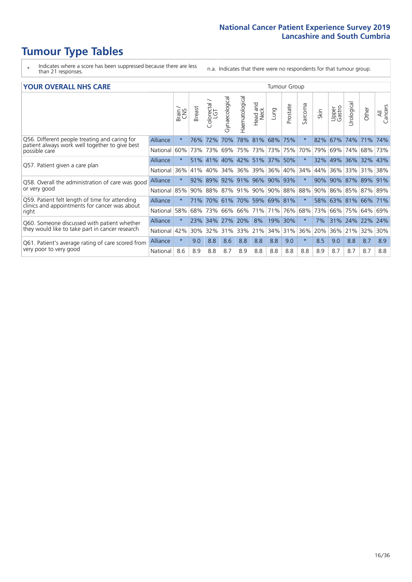- \* Indicates where a score has been suppressed because there are less than 21 responses.
- n.a. Indicates that there were no respondents for that tumour group.

#### **YOUR OVERALL NHS CARE** THE CONSTRUCTION OF THE THROUP GROUP TUMOUR GROUP

|                                                                                                 |                 | Brain   | <b>Breast</b> | olorectal<br>LGT<br>Û | Gynaecological | Haematological | ead and<br>Neck<br>Head | Lung    | Prostate | arcoma<br>$\sqrt{ }$ | Skin | Upper<br>Gastro | $\overline{c}$<br>Urologia | Other           | All<br>Cancers |
|-------------------------------------------------------------------------------------------------|-----------------|---------|---------------|-----------------------|----------------|----------------|-------------------------|---------|----------|----------------------|------|-----------------|----------------------------|-----------------|----------------|
| Q56. Different people treating and caring for<br>patient always work well together to give best | Alliance        | $\star$ | 76%           | 72%                   | 70%            | 78%            | 81%                     | 68% 75% |          | $\star$              | 82%  | 67%             | 74%                        | 71%             | 74%            |
| possible care                                                                                   | National        | 60%     |               | 73% 73%               | 69%            | 75%            | 73%                     | 73% 75% |          | 70%                  | 79%  | 69%             | 74%                        | 68%             | 73%            |
| Q57. Patient given a care plan                                                                  | Alliance        | $\star$ |               | 51% 41%               |                |                | 40% 42% 51% 37% 50%     |         |          | $\ast$               | 32%  | 49% 36%         |                            | 32% 43%         |                |
|                                                                                                 | National        | 36%     | 41%           | 40%                   | 34%            | 36%            | 39%                     | 36%     | 40%      | 34%                  | 44%  | 36%             | 33%                        | 31%             | 38%            |
| Q58. Overall the administration of care was good                                                | Alliance        | $\star$ | 92%           | 89%                   |                | 92% 91%        | 96%                     | 90%     | 93%      | $\ast$               | 90%  | 90% 87%         |                            | 89%             | 91%            |
| or very good                                                                                    | National        | 85%     |               | 90% 88%               |                | 87% 91%        | 90%                     | 90% 88% |          | 88%                  | 90%  |                 |                            | 86% 85% 87% 89% |                |
| Q59. Patient felt length of time for attending<br>clinics and appointments for cancer was about | Alliance        | $\star$ | <b>71%</b>    |                       |                |                | 70% 61% 70% 59% 69% 81% |         |          | $\star$              | 58%  | 63% 81% 66% 71% |                            |                 |                |
| right                                                                                           | National        | 58%     | 68%           | 73%                   | 66%            | 66%            | 71%                     | 71%     | 76%      | 68%                  | 73%  | 66%             | 75%                        | 64%             | 69%            |
| Q60. Someone discussed with patient whether                                                     | <b>Alliance</b> | $\star$ | 23%           | 34%                   | 27%            | 20%            | 8%                      | 19%     | 30%      | $\star$              | 7%   |                 | 31% 24%                    | $ 22\%$         | 24%            |
| they would like to take part in cancer research                                                 | National        | 42%     | 30%           | 32%                   | 31%            | 33%            | 21%                     | 34%     | 31%      | 36%                  | 20%  | 36%             | 21%                        | 32%             | 30%            |
| Q61. Patient's average rating of care scored from                                               | Alliance        | $\star$ | 9.0           | 8.8                   | 8.6            | 8.8            | 8.8                     | 8.8     | 9.0      | $\star$              | 8.5  | 9.0             | 8.8                        | 8.7             | 8.9            |
| very poor to very good                                                                          | National        | 8.6     | 8.9           | 8.8                   | 8.7            | 8.9            | 8.8                     | 8.8     | 8.8      | 8.8                  | 8.9  | 8.7             | 8.7                        | 8.7             | 8.8            |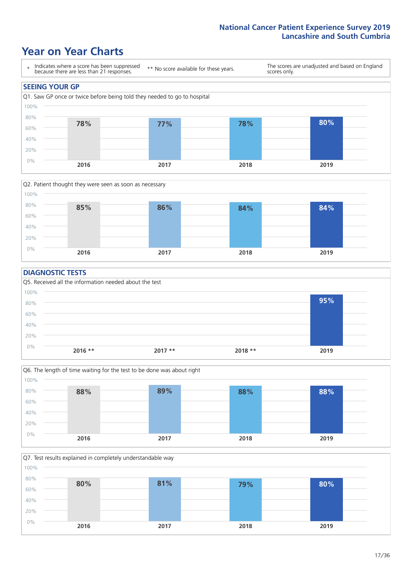### **Year on Year Charts**





#### **DIAGNOSTIC TESTS**





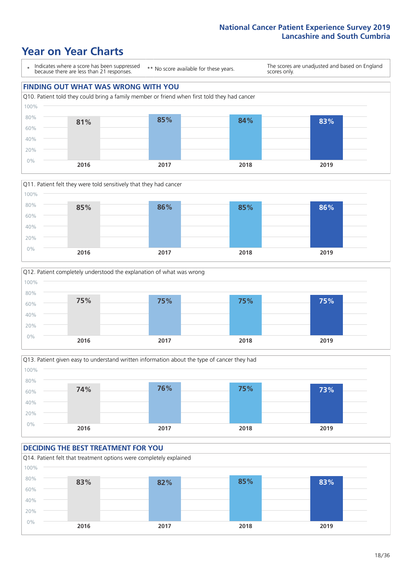### **Year on Year Charts**

\* Indicates where a score has been suppressed because there are less than 21 responses. \*\* No score available for these years. The scores are unadjusted and based on England scores only. **FINDING OUT WHAT WAS WRONG WITH YOU** Q10. Patient told they could bring a family member or friend when first told they had cancer 0% 20% 40% 60% 80% 100% **2016 2017 2018 2019 81% 85% 84% 83%**







#### **DECIDING THE BEST TREATMENT FOR YOU**

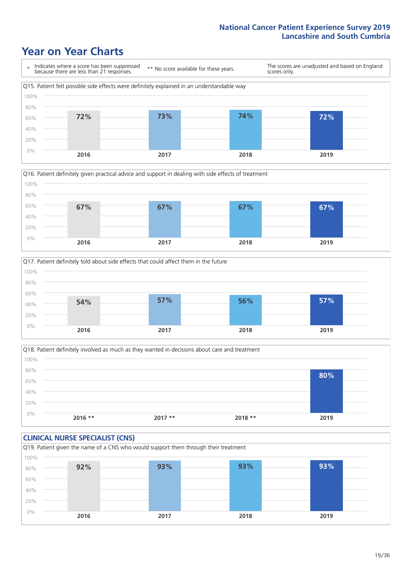### **Year on Year Charts**







Q18. Patient definitely involved as much as they wanted in decisions about care and treatment  $0%$ 20% 40% 60% 80% 100% **2016 \*\* 2017 \*\* 2018 \*\* 2019 80%**

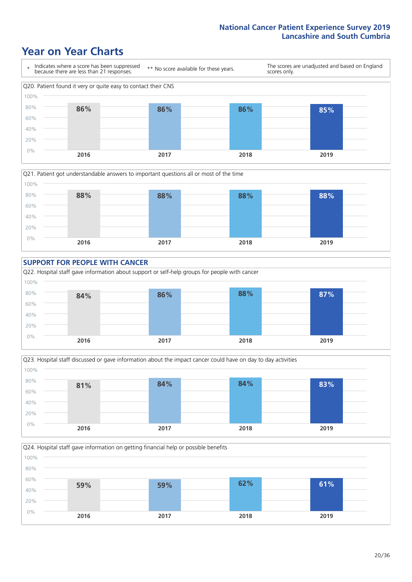### **Year on Year Charts**









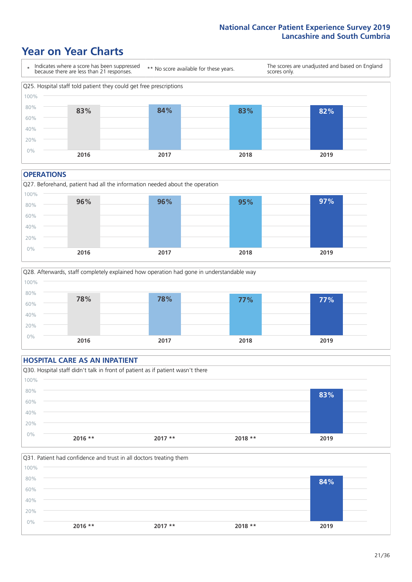### **Year on Year Charts**



#### **OPERATIONS**





|       | <b>HOSPITAL CARE AS AN INPATIENT</b> |                                                                                |          |      |
|-------|--------------------------------------|--------------------------------------------------------------------------------|----------|------|
|       |                                      | Q30. Hospital staff didn't talk in front of patient as if patient wasn't there |          |      |
| 100%  |                                      |                                                                                |          |      |
| 80%   |                                      |                                                                                |          | 83%  |
| 60%   |                                      |                                                                                |          |      |
| 40%   |                                      |                                                                                |          |      |
| 20%   |                                      |                                                                                |          |      |
| $0\%$ | $2016$ **                            | $2017**$                                                                       | $2018**$ | 2019 |
|       |                                      |                                                                                |          |      |

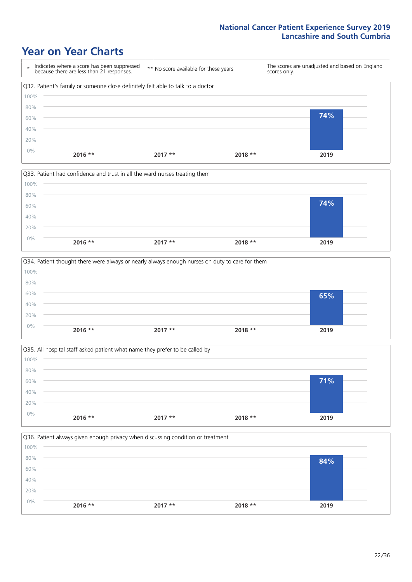### **Year on Year Charts**

|      | Indicates where a score has been suppressed<br>because there are less than 21 responses. | ** No score available for these years. | scores only. | The scores are unadjusted and based on England |
|------|------------------------------------------------------------------------------------------|----------------------------------------|--------------|------------------------------------------------|
|      | Q32. Patient's family or someone close definitely felt able to talk to a doctor          |                                        |              |                                                |
| 100% |                                                                                          |                                        |              |                                                |
| 80%  |                                                                                          |                                        |              |                                                |
| 60%  |                                                                                          |                                        |              | 74%                                            |
| 40%  |                                                                                          |                                        |              |                                                |
| 20%  |                                                                                          |                                        |              |                                                |
| 0%   | $2016$ **                                                                                | $2017**$                               | $2018**$     | 2019                                           |



|       |           | Q34. Patient thought there were always or nearly always enough nurses on duty to care for them |          |      |
|-------|-----------|------------------------------------------------------------------------------------------------|----------|------|
| 100%  |           |                                                                                                |          |      |
| 80%   |           |                                                                                                |          |      |
| 60%   |           |                                                                                                |          | 65%  |
| 40%   |           |                                                                                                |          |      |
| 20%   |           |                                                                                                |          |      |
| $0\%$ | $2016$ ** | $2017**$                                                                                       | $2018**$ | 2019 |
|       |           |                                                                                                |          |      |



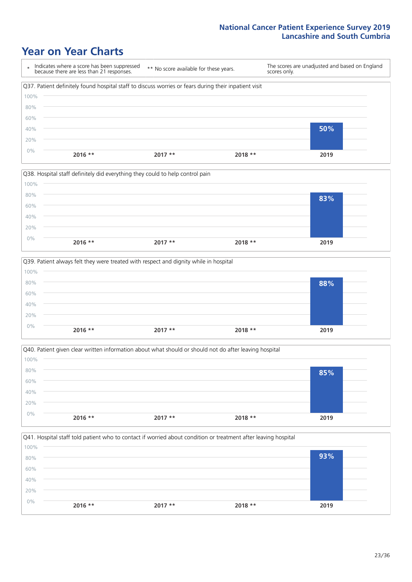### **Year on Year Charts**

| $\star$ | Indicates where a score has been suppressed<br>because there are less than 21 responses.              | ** No score available for these years. | scores only. | The scores are unadjusted and based on England |
|---------|-------------------------------------------------------------------------------------------------------|----------------------------------------|--------------|------------------------------------------------|
|         | Q37. Patient definitely found hospital staff to discuss worries or fears during their inpatient visit |                                        |              |                                                |
| 100%    |                                                                                                       |                                        |              |                                                |
| 80%     |                                                                                                       |                                        |              |                                                |
| 60%     |                                                                                                       |                                        |              |                                                |
| 40%     |                                                                                                       |                                        |              | 50%                                            |
| 20%     |                                                                                                       |                                        |              |                                                |
| $0\%$   | $2016$ **                                                                                             | $2017**$                               | $2018**$     | 2019                                           |

|       |           | Q38. Hospital staff definitely did everything they could to help control pain |          |      |  |
|-------|-----------|-------------------------------------------------------------------------------|----------|------|--|
| 100%  |           |                                                                               |          |      |  |
| 80%   |           |                                                                               |          | 83%  |  |
| 60%   |           |                                                                               |          |      |  |
| 40%   |           |                                                                               |          |      |  |
| 20%   |           |                                                                               |          |      |  |
| $0\%$ |           |                                                                               |          |      |  |
|       | $2016$ ** | $2017**$                                                                      | $2018**$ | 2019 |  |

|       |           | Q39. Patient always felt they were treated with respect and dignity while in hospital |          |      |
|-------|-----------|---------------------------------------------------------------------------------------|----------|------|
| 100%  |           |                                                                                       |          |      |
| 80%   |           |                                                                                       |          | 88%  |
| 60%   |           |                                                                                       |          |      |
| 40%   |           |                                                                                       |          |      |
| 20%   |           |                                                                                       |          |      |
| $0\%$ | $2016$ ** | $2017**$                                                                              | $2018**$ | 2019 |
|       |           |                                                                                       |          |      |

|       |           | Q40. Patient given clear written information about what should or should not do after leaving hospital |          |      |
|-------|-----------|--------------------------------------------------------------------------------------------------------|----------|------|
| 100%  |           |                                                                                                        |          |      |
| 80%   |           |                                                                                                        |          | 85%  |
| 60%   |           |                                                                                                        |          |      |
| 40%   |           |                                                                                                        |          |      |
| 20%   |           |                                                                                                        |          |      |
| $0\%$ | $2016$ ** | $2017**$                                                                                               | $2018**$ | 2019 |
|       |           |                                                                                                        |          |      |

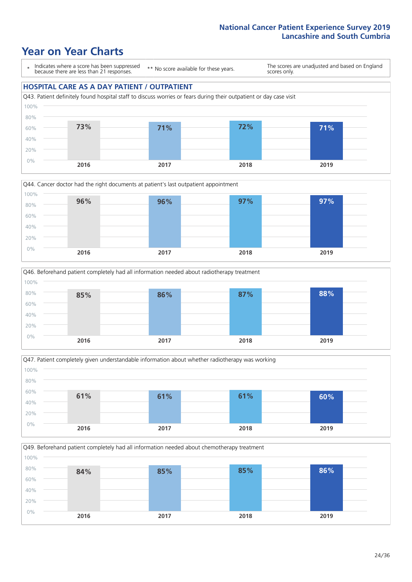### **Year on Year Charts**

\* Indicates where a score has been suppressed because there are less than 21 responses.

\*\* No score available for these years.

The scores are unadjusted and based on England scores only.

#### **HOSPITAL CARE AS A DAY PATIENT / OUTPATIENT**











24/36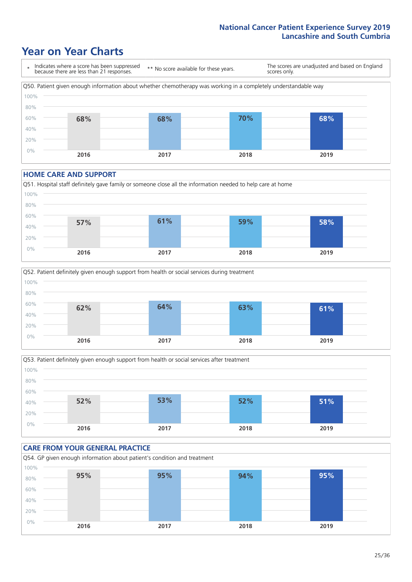### **Year on Year Charts**



#### **HOME CARE AND SUPPORT**







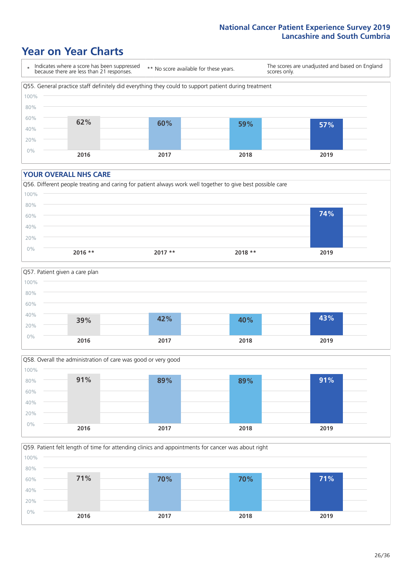### **Year on Year Charts**

\* Indicates where a score has been suppressed because there are less than 21 responses. \*\* No score available for these years. The scores are unadjusted and based on England scores only. Q55. General practice staff definitely did everything they could to support patient during treatment 0% 20% 40% 60% 80% 100% **2016 2017 2018 2019 62% 60% 59% 57%**

#### **YOUR OVERALL NHS CARE**







Q59. Patient felt length of time for attending clinics and appointments for cancer was about right 0% 20% 40% 60% 80% 100% **2016 2017 2018 2019 71% 70% 70% 71%**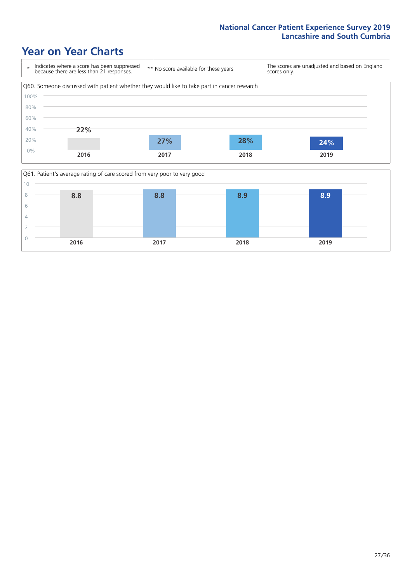### **Year on Year Charts**



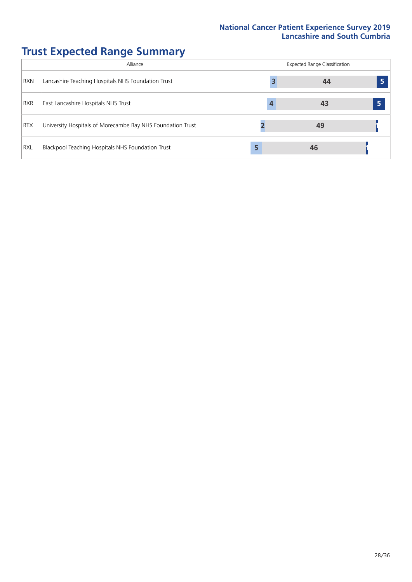# **Trust Expected Range Summary**

|            | Alliance                                                   |   | <b>Expected Range Classification</b> |  |
|------------|------------------------------------------------------------|---|--------------------------------------|--|
| <b>RXN</b> | Lancashire Teaching Hospitals NHS Foundation Trust         |   | 44                                   |  |
| <b>RXR</b> | East Lancashire Hospitals NHS Trust                        | 4 | 43                                   |  |
| <b>RTX</b> | University Hospitals of Morecambe Bay NHS Foundation Trust |   | 49                                   |  |
| <b>RXL</b> | Blackpool Teaching Hospitals NHS Foundation Trust          |   | 46                                   |  |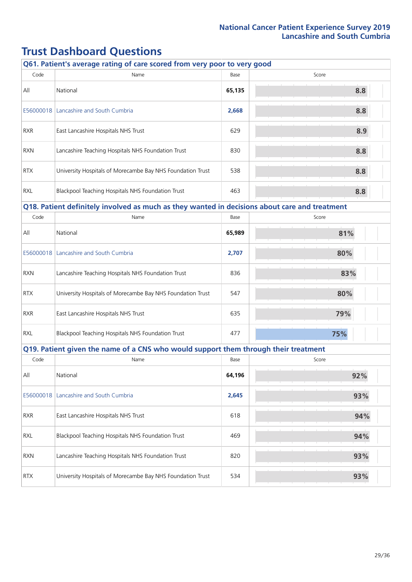# **Trust Dashboard Questions**

|            | Q61. Patient's average rating of care scored from very poor to very good                      |        |       |
|------------|-----------------------------------------------------------------------------------------------|--------|-------|
| Code       | Name                                                                                          | Base   | Score |
| All        | National                                                                                      | 65,135 | 8.8   |
|            | E56000018   Lancashire and South Cumbria                                                      | 2,668  | 8.8   |
| <b>RXR</b> | East Lancashire Hospitals NHS Trust                                                           | 629    | 8.9   |
| <b>RXN</b> | Lancashire Teaching Hospitals NHS Foundation Trust                                            | 830    | 8.8   |
| <b>RTX</b> | University Hospitals of Morecambe Bay NHS Foundation Trust                                    | 538    | 8.8   |
| <b>RXL</b> | Blackpool Teaching Hospitals NHS Foundation Trust                                             | 463    | 8.8   |
|            | Q18. Patient definitely involved as much as they wanted in decisions about care and treatment |        |       |
| Code       | Name                                                                                          | Base   | Score |
| All        | National                                                                                      | 65,989 | 81%   |
|            | E56000018   Lancashire and South Cumbria                                                      | 2,707  | 80%   |
| <b>RXN</b> | Lancashire Teaching Hospitals NHS Foundation Trust                                            | 836    | 83%   |
| <b>RTX</b> | University Hospitals of Morecambe Bay NHS Foundation Trust                                    | 547    | 80%   |
| <b>RXR</b> | East Lancashire Hospitals NHS Trust                                                           | 635    | 79%   |
| <b>RXL</b> | Blackpool Teaching Hospitals NHS Foundation Trust                                             | 477    | 75%   |
|            | Q19. Patient given the name of a CNS who would support them through their treatment           |        |       |
| Code       | Name                                                                                          | Base   | Score |
| All        | National                                                                                      | 64,196 | 92%   |
| E56000018  | Lancashire and South Cumbria                                                                  | 2,645  | 93%   |
| <b>RXR</b> | East Lancashire Hospitals NHS Trust                                                           | 618    | 94%   |
| <b>RXL</b> | Blackpool Teaching Hospitals NHS Foundation Trust                                             | 469    | 94%   |
| <b>RXN</b> | Lancashire Teaching Hospitals NHS Foundation Trust                                            | 820    | 93%   |
| <b>RTX</b> | University Hospitals of Morecambe Bay NHS Foundation Trust                                    | 534    | 93%   |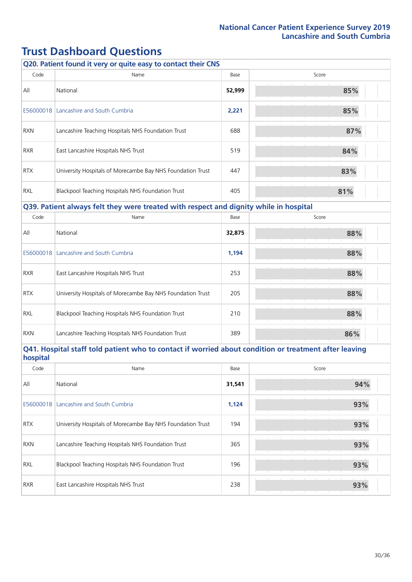## **Trust Dashboard Questions**

| Q20. Patient found it very or quite easy to contact their CNS                                                     |                                                                                       |        |       |  |
|-------------------------------------------------------------------------------------------------------------------|---------------------------------------------------------------------------------------|--------|-------|--|
| Code                                                                                                              | Name                                                                                  | Base   | Score |  |
| All                                                                                                               | National                                                                              | 52,999 | 85%   |  |
|                                                                                                                   | E56000018 Lancashire and South Cumbria                                                | 2,221  | 85%   |  |
| RXN                                                                                                               | Lancashire Teaching Hospitals NHS Foundation Trust                                    | 688    | 87%   |  |
| <b>RXR</b>                                                                                                        | East Lancashire Hospitals NHS Trust                                                   | 519    | 84%   |  |
| <b>RTX</b>                                                                                                        | University Hospitals of Morecambe Bay NHS Foundation Trust                            | 447    | 83%   |  |
| <b>RXL</b>                                                                                                        | Blackpool Teaching Hospitals NHS Foundation Trust                                     | 405    | 81%   |  |
|                                                                                                                   | Q39. Patient always felt they were treated with respect and dignity while in hospital |        |       |  |
| Code                                                                                                              | Name                                                                                  | Base   | Score |  |
| All                                                                                                               | National                                                                              | 32,875 | 88%   |  |
| E56000018                                                                                                         | Lancashire and South Cumbria                                                          | 1,194  | 88%   |  |
| <b>RXR</b>                                                                                                        | East Lancashire Hospitals NHS Trust                                                   | 253    | 88%   |  |
| <b>RTX</b>                                                                                                        | University Hospitals of Morecambe Bay NHS Foundation Trust                            | 205    | 88%   |  |
| <b>RXL</b>                                                                                                        | Blackpool Teaching Hospitals NHS Foundation Trust                                     | 210    | 88%   |  |
| <b>RXN</b>                                                                                                        | Lancashire Teaching Hospitals NHS Foundation Trust                                    | 389    | 86%   |  |
| Q41. Hospital staff told patient who to contact if worried about condition or treatment after leaving<br>hospital |                                                                                       |        |       |  |
| Code                                                                                                              | Name                                                                                  | Base   | Score |  |
| All                                                                                                               | National                                                                              | 31,541 | 94%   |  |
| E56000018                                                                                                         | Lancashire and South Cumbria                                                          | 1,124  | 93%   |  |
| <b>RTX</b>                                                                                                        | University Hospitals of Morecambe Bay NHS Foundation Trust                            | 194    | 93%   |  |
| <b>RXN</b>                                                                                                        | Lancashire Teaching Hospitals NHS Foundation Trust                                    | 365    | 93%   |  |
| <b>RXL</b>                                                                                                        | Blackpool Teaching Hospitals NHS Foundation Trust                                     | 196    | 93%   |  |
| RXR                                                                                                               | East Lancashire Hospitals NHS Trust                                                   | 238    | 93%   |  |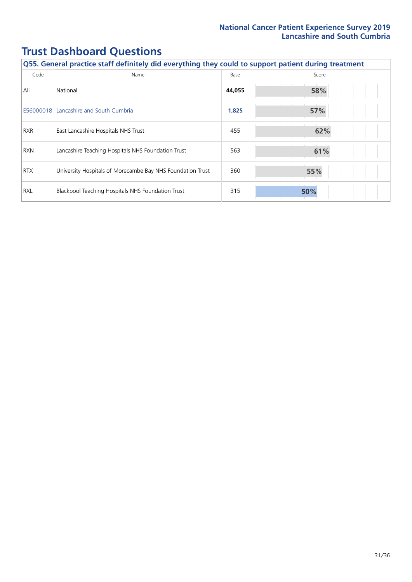# **Trust Dashboard Questions**

| Q55. General practice staff definitely did everything they could to support patient during treatment |                                                            |        |       |
|------------------------------------------------------------------------------------------------------|------------------------------------------------------------|--------|-------|
| Code                                                                                                 | Name                                                       | Base   | Score |
| All                                                                                                  | National                                                   | 44,055 | 58%   |
| E56000018                                                                                            | Lancashire and South Cumbria                               | 1,825  | 57%   |
| <b>RXR</b>                                                                                           | East Lancashire Hospitals NHS Trust                        | 455    | 62%   |
| <b>RXN</b>                                                                                           | Lancashire Teaching Hospitals NHS Foundation Trust         | 563    | 61%   |
| <b>RTX</b>                                                                                           | University Hospitals of Morecambe Bay NHS Foundation Trust | 360    | 55%   |
| <b>RXL</b>                                                                                           | Blackpool Teaching Hospitals NHS Foundation Trust          | 315    | 50%   |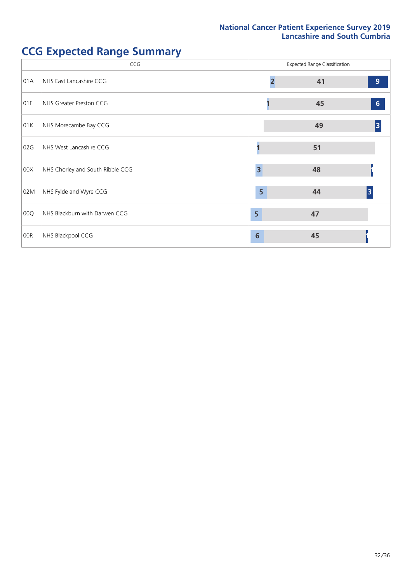# **CCG** Expected Range Classification 01A NHS East Lancashire CCG **2 41 9** 01E NHS Greater Preston CCG **1 45 6** 01K NHS Morecambe Bay CCG **49 3** 02G NHS West Lancashire CCG **1 1 1 51** 00X NHS Chorley and South Ribble CCG **3 48 1** 02M NHS Fylde and Wyre CCG **5 44 3** 00Q NHS Blackburn with Darwen CCG **5 47** 00R NHS Blackpool CCG **6 45 1**

### **CCG Expected Range Summary**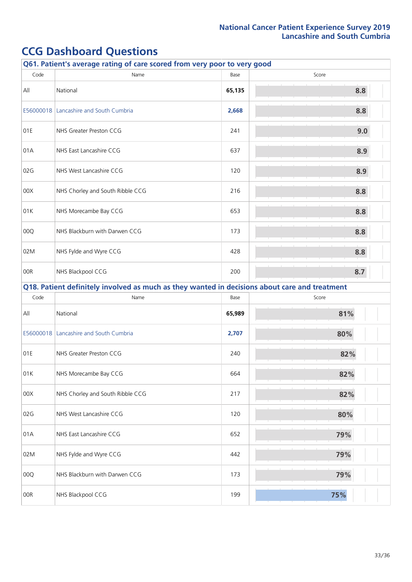| Q61. Patient's average rating of care scored from very poor to very good |                                                                                               |        |       |  |
|--------------------------------------------------------------------------|-----------------------------------------------------------------------------------------------|--------|-------|--|
| Code                                                                     | Name                                                                                          | Base   | Score |  |
| All                                                                      | National                                                                                      | 65,135 | 8.8   |  |
| E56000018                                                                | Lancashire and South Cumbria                                                                  | 2,668  | 8.8   |  |
| 01E                                                                      | NHS Greater Preston CCG                                                                       | 241    | 9.0   |  |
| 01A                                                                      | NHS East Lancashire CCG                                                                       | 637    | 8.9   |  |
| 02G                                                                      | NHS West Lancashire CCG                                                                       | 120    | 8.9   |  |
| 00X                                                                      | NHS Chorley and South Ribble CCG                                                              | 216    | 8.8   |  |
| 01K                                                                      | NHS Morecambe Bay CCG                                                                         | 653    | 8.8   |  |
| 00Q                                                                      | NHS Blackburn with Darwen CCG                                                                 | 173    | 8.8   |  |
| 02M                                                                      | NHS Fylde and Wyre CCG                                                                        | 428    | 8.8   |  |
| 00R                                                                      | NHS Blackpool CCG                                                                             | 200    | 8.7   |  |
|                                                                          | Q18. Patient definitely involved as much as they wanted in decisions about care and treatment |        |       |  |
| Code                                                                     | Name                                                                                          | Base   | Score |  |
| All                                                                      | National                                                                                      | 65,989 | 81%   |  |
| E56000018                                                                | Lancashire and South Cumbria                                                                  | 2,707  | 80%   |  |
| 01E                                                                      | NHS Greater Preston CCG                                                                       | 240    | 82%   |  |
| 01K                                                                      | NHS Morecambe Bay CCG                                                                         | 664    | 82%   |  |
| 00X                                                                      | NHS Chorley and South Ribble CCG                                                              | 217    | 82%   |  |
| 02G                                                                      | NHS West Lancashire CCG                                                                       | 120    | 80%   |  |
| 01A                                                                      | NHS East Lancashire CCG                                                                       | 652    | 79%   |  |
| 02M                                                                      | NHS Fylde and Wyre CCG                                                                        | 442    | 79%   |  |
| 00Q                                                                      | NHS Blackburn with Darwen CCG                                                                 | 173    | 79%   |  |
| 00R                                                                      | NHS Blackpool CCG                                                                             | 199    | 75%   |  |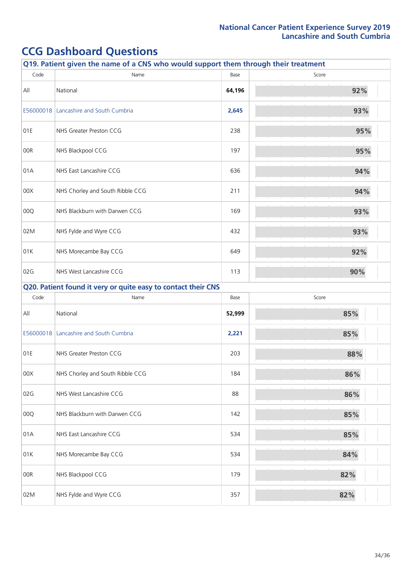| Q19. Patient given the name of a CNS who would support them through their treatment |                                                               |        |       |  |
|-------------------------------------------------------------------------------------|---------------------------------------------------------------|--------|-------|--|
| Code                                                                                | Name                                                          | Base   | Score |  |
| All                                                                                 | National                                                      | 64,196 | 92%   |  |
| E56000018                                                                           | Lancashire and South Cumbria                                  | 2,645  | 93%   |  |
| 01E                                                                                 | NHS Greater Preston CCG                                       | 238    | 95%   |  |
| 00R                                                                                 | NHS Blackpool CCG                                             | 197    | 95%   |  |
| 01A                                                                                 | NHS East Lancashire CCG                                       | 636    | 94%   |  |
| 00X                                                                                 | NHS Chorley and South Ribble CCG                              | 211    | 94%   |  |
| 00Q                                                                                 | NHS Blackburn with Darwen CCG                                 | 169    | 93%   |  |
| 02M                                                                                 | NHS Fylde and Wyre CCG                                        | 432    | 93%   |  |
| 01K                                                                                 | NHS Morecambe Bay CCG                                         | 649    | 92%   |  |
| 02G                                                                                 | NHS West Lancashire CCG                                       | 113    | 90%   |  |
|                                                                                     | Q20. Patient found it very or quite easy to contact their CNS |        |       |  |
| Code                                                                                | Name                                                          | Base   | Score |  |
| All                                                                                 | National                                                      | 52,999 | 85%   |  |
|                                                                                     | E56000018 Lancashire and South Cumbria                        | 2,221  | 85%   |  |
| 01E                                                                                 | NHS Greater Preston CCG                                       | 203    | 88%   |  |
| 00X                                                                                 | NHS Chorley and South Ribble CCG                              | 184    | 86%   |  |
| 02G                                                                                 | NHS West Lancashire CCG                                       | 88     | 86%   |  |
| 00Q                                                                                 | NHS Blackburn with Darwen CCG                                 | 142    | 85%   |  |
| 01A                                                                                 | NHS East Lancashire CCG                                       | 534    | 85%   |  |
| 01K                                                                                 | NHS Morecambe Bay CCG                                         | 534    | 84%   |  |
| 00R                                                                                 | NHS Blackpool CCG                                             | 179    | 82%   |  |
| 02M                                                                                 | NHS Fylde and Wyre CCG                                        | 357    | 82%   |  |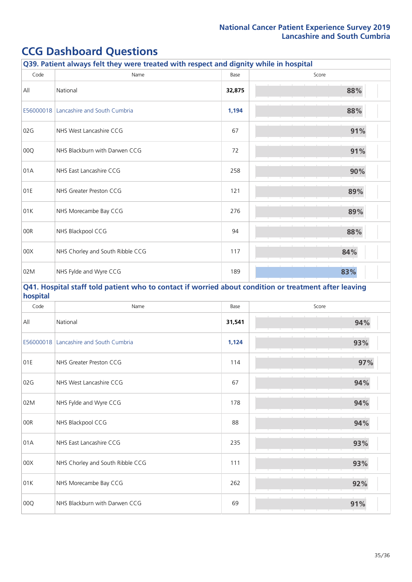|           | Q39. Patient always felt they were treated with respect and dignity while in hospital                 |        |       |
|-----------|-------------------------------------------------------------------------------------------------------|--------|-------|
| Code      | Name                                                                                                  | Base   | Score |
| All       | National                                                                                              | 32,875 | 88%   |
| E56000018 | Lancashire and South Cumbria                                                                          | 1,194  | 88%   |
| 02G       | NHS West Lancashire CCG                                                                               | 67     | 91%   |
| 00Q       | NHS Blackburn with Darwen CCG                                                                         | 72     | 91%   |
| 01A       | NHS East Lancashire CCG                                                                               | 258    | 90%   |
| 01E       | NHS Greater Preston CCG                                                                               | 121    | 89%   |
| 01K       | NHS Morecambe Bay CCG                                                                                 | 276    | 89%   |
| 00R       | NHS Blackpool CCG                                                                                     | 94     | 88%   |
| 00X       | NHS Chorley and South Ribble CCG                                                                      | 117    | 84%   |
| 02M       | NHS Fylde and Wyre CCG                                                                                | 189    | 83%   |
| hospital  | Q41. Hospital staff told patient who to contact if worried about condition or treatment after leaving |        |       |
| Code      | Name                                                                                                  | Base   | Score |
| All       | National                                                                                              | 31,541 | 94%   |
| E56000018 | Lancashire and South Cumbria                                                                          | 1,124  | 93%   |
| 01E       | NHS Greater Preston CCG                                                                               | 114    | 97%   |
| 02G       | NHS West Lancashire CCG                                                                               | 67     | 94%   |
| 02M       | NHS Fylde and Wyre CCG                                                                                | 178    | 94%   |
| 00R       | NHS Blackpool CCG                                                                                     | 88     | 94%   |
| 01A       | NHS East Lancashire CCG                                                                               | 235    | 93%   |
| 00X       | NHS Chorley and South Ribble CCG                                                                      | 111    | 93%   |
| 01K       | NHS Morecambe Bay CCG                                                                                 | 262    | 92%   |
| 00Q       | NHS Blackburn with Darwen CCG                                                                         | 69     | 91%   |